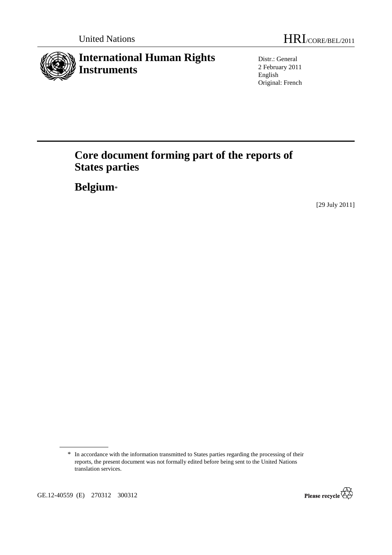

Distr.: General 2 February 2011 English Original: French

# **Core document forming part of the reports of States parties**

 **Belgium**\*

[29 July 2011]



<sup>\*</sup> In accordance with the information transmitted to States parties regarding the processing of their reports, the present document was not formally edited before being sent to the United Nations translation services.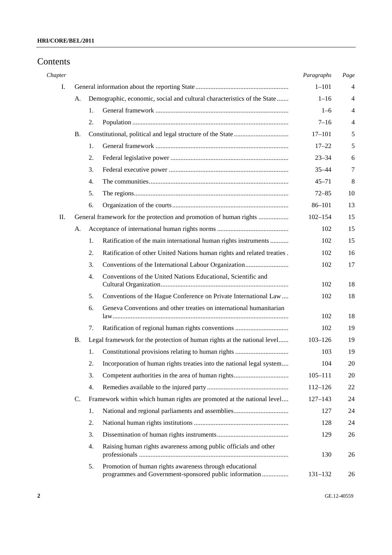## Contents

| Chapter |    |    |                                                                                                                   | Paragraphs  | Page           |
|---------|----|----|-------------------------------------------------------------------------------------------------------------------|-------------|----------------|
| I.      |    |    |                                                                                                                   | $1 - 101$   | 4              |
|         | А. |    | Demographic, economic, social and cultural characteristics of the State                                           | $1 - 16$    | $\overline{4}$ |
|         |    | 1. |                                                                                                                   | $1 - 6$     | $\overline{4}$ |
|         |    | 2. |                                                                                                                   | $7 - 16$    | $\overline{4}$ |
|         | В. |    |                                                                                                                   | $17 - 101$  | 5              |
|         |    | 1. |                                                                                                                   | $17 - 22$   | 5              |
|         |    | 2. |                                                                                                                   | $23 - 34$   | 6              |
|         |    | 3. |                                                                                                                   | $35 - 44$   | 7              |
|         |    | 4. |                                                                                                                   | $45 - 71$   | 8              |
|         |    | 5. |                                                                                                                   | $72 - 85$   | 10             |
|         |    | 6. |                                                                                                                   | $86 - 101$  | 13             |
| П.      |    |    | General framework for the protection and promotion of human rights                                                | $102 - 154$ | 15             |
|         | А. |    |                                                                                                                   | 102         | 15             |
|         |    | 1. | Ratification of the main international human rights instruments                                                   | 102         | 15             |
|         |    | 2. | Ratification of other United Nations human rights and related treaties.                                           | 102         | 16             |
|         |    | 3. |                                                                                                                   | 102         | 17             |
|         |    | 4. | Conventions of the United Nations Educational, Scientific and                                                     | 102         | 18             |
|         |    | 5. | Conventions of the Hague Conference on Private International Law                                                  | 102         | 18             |
|         |    | 6. | Geneva Conventions and other treaties on international humanitarian                                               | 102         | 18             |
|         |    | 7. |                                                                                                                   | 102         | 19             |
|         | Β. |    | Legal framework for the protection of human rights at the national level                                          | $103 - 126$ | 19             |
|         |    | 1. |                                                                                                                   | 103         | 19             |
|         |    | 2. | Incorporation of human rights treaties into the national legal system                                             | 104         | 20             |
|         |    | 3. |                                                                                                                   | $105 - 111$ | 20             |
|         |    | 4. |                                                                                                                   | $112 - 126$ | 22             |
|         | C. |    | Framework within which human rights are promoted at the national level                                            | $127 - 143$ | 24             |
|         |    | 1. |                                                                                                                   | 127         | 24             |
|         |    | 2. |                                                                                                                   | 128         | 24             |
|         |    | 3. |                                                                                                                   | 129         | 26             |
|         |    | 4. | Raising human rights awareness among public officials and other                                                   | 130         | 26             |
|         |    | 5. | Promotion of human rights awareness through educational<br>programmes and Government-sponsored public information | $131 - 132$ | 26             |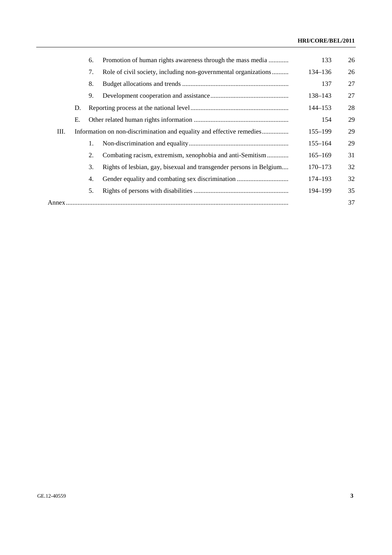## **HRI/CORE/BEL/2011**

|    |    | 6. | Promotion of human rights awareness through the mass media            | 133         | 26 |
|----|----|----|-----------------------------------------------------------------------|-------------|----|
|    |    | 7. | Role of civil society, including non-governmental organizations       | 134–136     | 26 |
|    |    | 8. |                                                                       | 137         | 27 |
|    |    | 9. |                                                                       | 138-143     | 27 |
|    | D. |    |                                                                       | $144 - 153$ | 28 |
|    | Е. |    |                                                                       | 154         | 29 |
| Ш. |    |    | Information on non-discrimination and equality and effective remedies | $155 - 199$ | 29 |
|    |    | 1. |                                                                       | $155 - 164$ | 29 |
|    |    | 2. | Combating racism, extremism, xenophobia and anti-Semitism             | $165 - 169$ | 31 |
|    |    | 3. | Rights of lesbian, gay, bisexual and transgender persons in Belgium   | $170 - 173$ | 32 |
|    |    | 4. |                                                                       | 174–193     | 32 |
|    |    | 5. |                                                                       | 194–199     | 35 |
|    |    |    |                                                                       |             | 37 |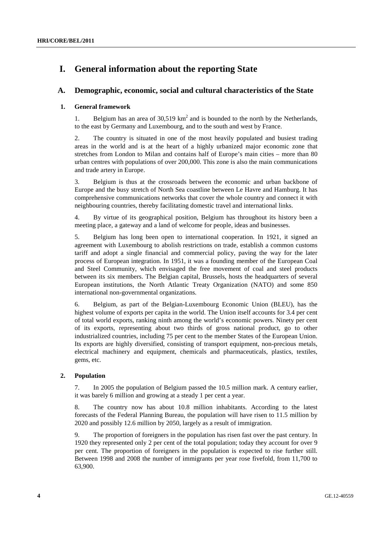## **I. General information about the reporting State**

## **A. Demographic, economic, social and cultural characteristics of the State**

### **1. General framework**

1. Belgium has an area of  $30,519 \text{ km}^2$  and is bounded to the north by the Netherlands, to the east by Germany and Luxembourg, and to the south and west by France.

2. The country is situated in one of the most heavily populated and busiest trading areas in the world and is at the heart of a highly urbanized major economic zone that stretches from London to Milan and contains half of Europe's main cities – more than 80 urban centres with populations of over 200,000. This zone is also the main communications and trade artery in Europe.

3. Belgium is thus at the crossroads between the economic and urban backbone of Europe and the busy stretch of North Sea coastline between Le Havre and Hamburg. It has comprehensive communications networks that cover the whole country and connect it with neighbouring countries, thereby facilitating domestic travel and international links.

4. By virtue of its geographical position, Belgium has throughout its history been a meeting place, a gateway and a land of welcome for people, ideas and businesses.

5. Belgium has long been open to international cooperation. In 1921, it signed an agreement with Luxembourg to abolish restrictions on trade, establish a common customs tariff and adopt a single financial and commercial policy, paving the way for the later process of European integration. In 1951, it was a founding member of the European Coal and Steel Community, which envisaged the free movement of coal and steel products between its six members. The Belgian capital, Brussels, hosts the headquarters of several European institutions, the North Atlantic Treaty Organization (NATO) and some 850 international non-governmental organizations.

6. Belgium, as part of the Belgian-Luxembourg Economic Union (BLEU), has the highest volume of exports per capita in the world. The Union itself accounts for 3.4 per cent of total world exports, ranking ninth among the world's economic powers. Ninety per cent of its exports, representing about two thirds of gross national product, go to other industrialized countries, including 75 per cent to the member States of the European Union. Its exports are highly diversified, consisting of transport equipment, non-precious metals, electrical machinery and equipment, chemicals and pharmaceuticals, plastics, textiles, gems, etc.

### **2. Population**

7. In 2005 the population of Belgium passed the 10.5 million mark. A century earlier, it was barely 6 million and growing at a steady 1 per cent a year.

8. The country now has about 10.8 million inhabitants. According to the latest forecasts of the Federal Planning Bureau, the population will have risen to 11.5 million by 2020 and possibly 12.6 million by 2050, largely as a result of immigration.

9. The proportion of foreigners in the population has risen fast over the past century. In 1920 they represented only 2 per cent of the total population; today they account for over 9 per cent. The proportion of foreigners in the population is expected to rise further still. Between 1998 and 2008 the number of immigrants per year rose fivefold, from 11,700 to 63,900.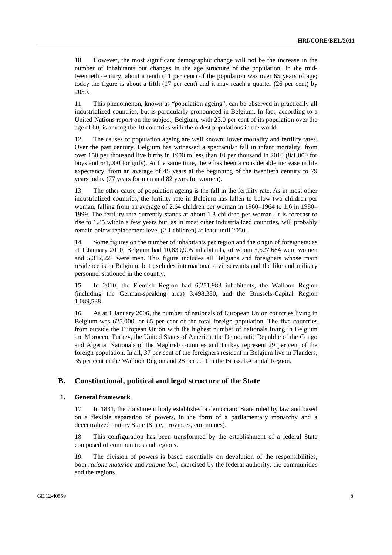10. However, the most significant demographic change will not be the increase in the number of inhabitants but changes in the age structure of the population. In the midtwentieth century, about a tenth (11 per cent) of the population was over 65 years of age; today the figure is about a fifth (17 per cent) and it may reach a quarter (26 per cent) by 2050.

11. This phenomenon, known as "population ageing", can be observed in practically all industrialized countries, but is particularly pronounced in Belgium. In fact, according to a United Nations report on the subject, Belgium, with 23.0 per cent of its population over the age of 60, is among the 10 countries with the oldest populations in the world.

12. The causes of population ageing are well known: lower mortality and fertility rates. Over the past century, Belgium has witnessed a spectacular fall in infant mortality, from over 150 per thousand live births in 1900 to less than 10 per thousand in 2010 (8/1,000 for boys and 6/1,000 for girls). At the same time, there has been a considerable increase in life expectancy, from an average of 45 years at the beginning of the twentieth century to 79 years today (77 years for men and 82 years for women).

13. The other cause of population ageing is the fall in the fertility rate. As in most other industrialized countries, the fertility rate in Belgium has fallen to below two children per woman, falling from an average of 2.64 children per woman in 1960–1964 to 1.6 in 1980– 1999. The fertility rate currently stands at about 1.8 children per woman. It is forecast to rise to 1.85 within a few years but, as in most other industrialized countries, will probably remain below replacement level (2.1 children) at least until 2050.

14. Some figures on the number of inhabitants per region and the origin of foreigners: as at 1 January 2010, Belgium had 10,839,905 inhabitants, of whom 5,527,684 were women and 5,312,221 were men. This figure includes all Belgians and foreigners whose main residence is in Belgium, but excludes international civil servants and the like and military personnel stationed in the country.

15. In 2010, the Flemish Region had 6,251,983 inhabitants, the Walloon Region (including the German-speaking area) 3,498,380, and the Brussels-Capital Region 1,089,538.

16. As at 1 January 2006, the number of nationals of European Union countries living in Belgium was 625,000, or 65 per cent of the total foreign population. The five countries from outside the European Union with the highest number of nationals living in Belgium are Morocco, Turkey, the United States of America, the Democratic Republic of the Congo and Algeria. Nationals of the Maghreb countries and Turkey represent 29 per cent of the foreign population. In all, 37 per cent of the foreigners resident in Belgium live in Flanders, 35 per cent in the Walloon Region and 28 per cent in the Brussels-Capital Region.

## **B. Constitutional, political and legal structure of the State**

#### **1. General framework**

17. In 1831, the constituent body established a democratic State ruled by law and based on a flexible separation of powers, in the form of a parliamentary monarchy and a decentralized unitary State (State, provinces, communes).

18. This configuration has been transformed by the establishment of a federal State composed of communities and regions.

19. The division of powers is based essentially on devolution of the responsibilities, both *ratione materiae* and *ratione loci*, exercised by the federal authority, the communities and the regions.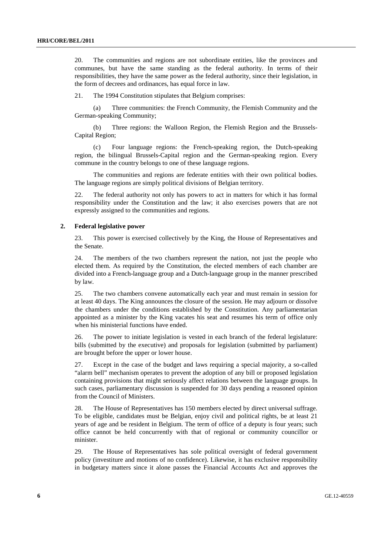20. The communities and regions are not subordinate entities, like the provinces and communes, but have the same standing as the federal authority. In terms of their responsibilities, they have the same power as the federal authority, since their legislation, in the form of decrees and ordinances, has equal force in law.

21. The 1994 Constitution stipulates that Belgium comprises:

 (a) Three communities: the French Community, the Flemish Community and the German-speaking Community;

 (b) Three regions: the Walloon Region, the Flemish Region and the Brussels-Capital Region;

 (c) Four language regions: the French-speaking region, the Dutch-speaking region, the bilingual Brussels-Capital region and the German-speaking region. Every commune in the country belongs to one of these language regions.

 The communities and regions are federate entities with their own political bodies. The language regions are simply political divisions of Belgian territory.

22. The federal authority not only has powers to act in matters for which it has formal responsibility under the Constitution and the law; it also exercises powers that are not expressly assigned to the communities and regions.

#### **2. Federal legislative power**

23. This power is exercised collectively by the King, the House of Representatives and the Senate.

24. The members of the two chambers represent the nation, not just the people who elected them. As required by the Constitution, the elected members of each chamber are divided into a French-language group and a Dutch-language group in the manner prescribed by law.

25. The two chambers convene automatically each year and must remain in session for at least 40 days. The King announces the closure of the session. He may adjourn or dissolve the chambers under the conditions established by the Constitution. Any parliamentarian appointed as a minister by the King vacates his seat and resumes his term of office only when his ministerial functions have ended.

26. The power to initiate legislation is vested in each branch of the federal legislature: bills (submitted by the executive) and proposals for legislation (submitted by parliament) are brought before the upper or lower house.

27. Except in the case of the budget and laws requiring a special majority, a so-called "alarm bell" mechanism operates to prevent the adoption of any bill or proposed legislation containing provisions that might seriously affect relations between the language groups. In such cases, parliamentary discussion is suspended for 30 days pending a reasoned opinion from the Council of Ministers.

28. The House of Representatives has 150 members elected by direct universal suffrage. To be eligible, candidates must be Belgian, enjoy civil and political rights, be at least 21 years of age and be resident in Belgium. The term of office of a deputy is four years; such office cannot be held concurrently with that of regional or community councillor or minister.

29. The House of Representatives has sole political oversight of federal government policy (investiture and motions of no confidence). Likewise, it has exclusive responsibility in budgetary matters since it alone passes the Financial Accounts Act and approves the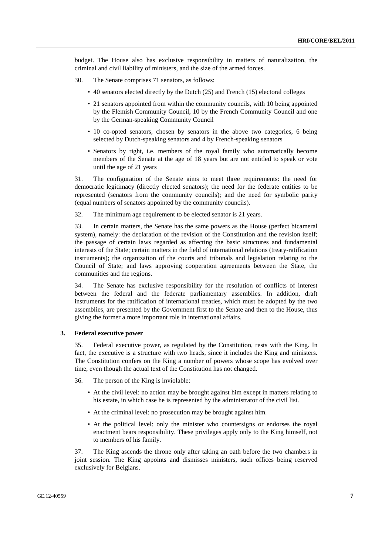budget. The House also has exclusive responsibility in matters of naturalization, the criminal and civil liability of ministers, and the size of the armed forces.

- 30. The Senate comprises 71 senators, as follows:
	- 40 senators elected directly by the Dutch (25) and French (15) electoral colleges
	- 21 senators appointed from within the community councils, with 10 being appointed by the Flemish Community Council, 10 by the French Community Council and one by the German-speaking Community Council
	- 10 co-opted senators, chosen by senators in the above two categories, 6 being selected by Dutch-speaking senators and 4 by French-speaking senators
	- Senators by right, i.e. members of the royal family who automatically become members of the Senate at the age of 18 years but are not entitled to speak or vote until the age of 21 years

31. The configuration of the Senate aims to meet three requirements: the need for democratic legitimacy (directly elected senators); the need for the federate entities to be represented (senators from the community councils); and the need for symbolic parity (equal numbers of senators appointed by the community councils).

32. The minimum age requirement to be elected senator is 21 years.

33. In certain matters, the Senate has the same powers as the House (perfect bicameral system), namely: the declaration of the revision of the Constitution and the revision itself; the passage of certain laws regarded as affecting the basic structures and fundamental interests of the State; certain matters in the field of international relations (treaty-ratification instruments); the organization of the courts and tribunals and legislation relating to the Council of State; and laws approving cooperation agreements between the State, the communities and the regions.

34. The Senate has exclusive responsibility for the resolution of conflicts of interest between the federal and the federate parliamentary assemblies. In addition, draft instruments for the ratification of international treaties, which must be adopted by the two assemblies, are presented by the Government first to the Senate and then to the House, thus giving the former a more important role in international affairs.

#### **3. Federal executive power**

35. Federal executive power, as regulated by the Constitution, rests with the King. In fact, the executive is a structure with two heads, since it includes the King and ministers. The Constitution confers on the King a number of powers whose scope has evolved over time, even though the actual text of the Constitution has not changed.

36. The person of the King is inviolable:

- At the civil level: no action may be brought against him except in matters relating to his estate, in which case he is represented by the administrator of the civil list.
- At the criminal level: no prosecution may be brought against him.
- At the political level: only the minister who countersigns or endorses the royal enactment bears responsibility. These privileges apply only to the King himself, not to members of his family.

37. The King ascends the throne only after taking an oath before the two chambers in joint session. The King appoints and dismisses ministers, such offices being reserved exclusively for Belgians.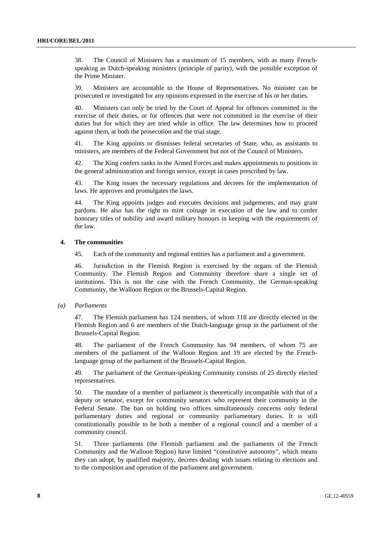38. The Council of Ministers has a maximum of 15 members, with as many Frenchspeaking as Dutch-speaking ministers (principle of parity), with the possible exception of the Prime Minister.

39. Ministers are accountable to the House of Representatives. No minister can be prosecuted or investigated for any opinions expressed in the exercise of his or her duties.

40. Ministers can only be tried by the Court of Appeal for offences committed in the exercise of their duties, or for offences that were not committed in the exercise of their duties but for which they are tried while in office. The law determines how to proceed against them, at both the prosecution and the trial stage.

41. The King appoints or dismisses federal secretaries of State, who, as assistants to ministers, are members of the Federal Government but not of the Council of Ministers.

42. The King confers ranks in the Armed Forces and makes appointments to positions in the general administration and foreign service, except in cases prescribed by law.

43. The King issues the necessary regulations and decrees for the implementation of laws. He approves and promulgates the laws.

44. The King appoints judges and executes decisions and judgements, and may grant pardons. He also has the right to mint coinage in execution of the law and to confer honorary titles of nobility and award military honours in keeping with the requirements of the law.

#### **4. The communities**

45. Each of the community and regional entities has a parliament and a government.

46. Jurisdiction in the Flemish Region is exercised by the organs of the Flemish Community. The Flemish Region and Community therefore share a single set of institutions. This is not the case with the French Community, the German-speaking Community, the Walloon Region or the Brussels-Capital Region.

#### *(a) Parliaments*

47. The Flemish parliament has 124 members, of whom 118 are directly elected in the Flemish Region and 6 are members of the Dutch-language group in the parliament of the Brussels-Capital Region.

48. The parliament of the French Community has 94 members, of whom 75 are members of the parliament of the Walloon Region and 19 are elected by the Frenchlanguage group of the parliament of the Brussels-Capital Region.

49. The parliament of the German-speaking Community consists of 25 directly elected representatives.

50. The mandate of a member of parliament is theoretically incompatible with that of a deputy or senator, except for community senators who represent their community in the Federal Senate. The ban on holding two offices simultaneously concerns only federal parliamentary duties and regional or community parliamentary duties. It is still constitutionally possible to be both a member of a regional council and a member of a community council.

51. Three parliaments (the Flemish parliament and the parliaments of the French Community and the Walloon Region) have limited "constitutive autonomy", which means they can adopt, by qualified majority, decrees dealing with issues relating to elections and to the composition and operation of the parliament and government.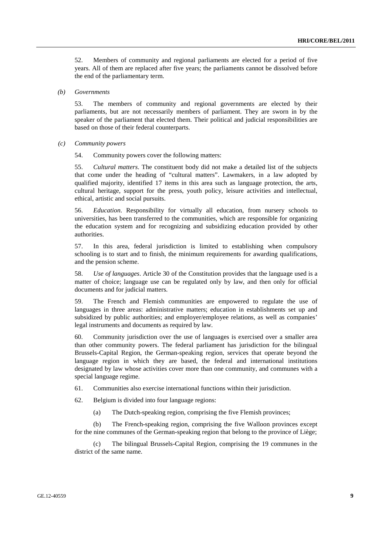52. Members of community and regional parliaments are elected for a period of five years. All of them are replaced after five years; the parliaments cannot be dissolved before the end of the parliamentary term.

 *(b) Governments* 

53. The members of community and regional governments are elected by their parliaments, but are not necessarily members of parliament. They are sworn in by the speaker of the parliament that elected them. Their political and judicial responsibilities are based on those of their federal counterparts.

 *(c) Community powers* 

54. Community powers cover the following matters:

55. *Cultural matters*. The constituent body did not make a detailed list of the subjects that come under the heading of "cultural matters". Lawmakers, in a law adopted by qualified majority, identified 17 items in this area such as language protection, the arts, cultural heritage, support for the press, youth policy, leisure activities and intellectual, ethical, artistic and social pursuits.

56. *Education*. Responsibility for virtually all education, from nursery schools to universities, has been transferred to the communities, which are responsible for organizing the education system and for recognizing and subsidizing education provided by other authorities.

57. In this area, federal jurisdiction is limited to establishing when compulsory schooling is to start and to finish, the minimum requirements for awarding qualifications, and the pension scheme.

58. *Use of languages*. Article 30 of the Constitution provides that the language used is a matter of choice; language use can be regulated only by law, and then only for official documents and for judicial matters.

59. The French and Flemish communities are empowered to regulate the use of languages in three areas: administrative matters; education in establishments set up and subsidized by public authorities; and employer/employee relations, as well as companies' legal instruments and documents as required by law.

60. Community jurisdiction over the use of languages is exercised over a smaller area than other community powers. The federal parliament has jurisdiction for the bilingual Brussels-Capital Region, the German-speaking region, services that operate beyond the language region in which they are based, the federal and international institutions designated by law whose activities cover more than one community, and communes with a special language regime.

61. Communities also exercise international functions within their jurisdiction.

62. Belgium is divided into four language regions:

(a) The Dutch-speaking region, comprising the five Flemish provinces;

(b) The French-speaking region, comprising the five Walloon provinces except for the nine communes of the German-speaking region that belong to the province of Liège;

(c) The bilingual Brussels-Capital Region, comprising the 19 communes in the district of the same name.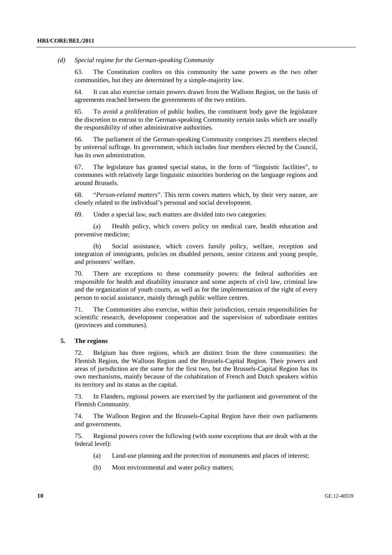*(d) Special regime for the German-speaking Community* 

63. The Constitution confers on this community the same powers as the two other communities, but they are determined by a simple-majority law.

64. It can also exercise certain powers drawn from the Walloon Region, on the basis of agreements reached between the governments of the two entities.

65. To avoid a proliferation of public bodies, the constituent body gave the legislature the discretion to entrust to the German-speaking Community certain tasks which are usually the responsibility of other administrative authorities.

66. The parliament of the German-speaking Community comprises 25 members elected by universal suffrage. Its government, which includes four members elected by the Council, has its own administration.

67. The legislature has granted special status, in the form of "linguistic facilities", to communes with relatively large linguistic minorities bordering on the language regions and around Brussels.

68. "*Person-related matters*". This term covers matters which, by their very nature, are closely related to the individual's personal and social development.

69. Under a special law, such matters are divided into two categories:

(a) Health policy, which covers policy on medical care, health education and preventive medicine;

(b) Social assistance, which covers family policy, welfare, reception and integration of immigrants, policies on disabled persons, senior citizens and young people, and prisoners' welfare.

70. There are exceptions to these community powers: the federal authorities are responsible for health and disability insurance and some aspects of civil law, criminal law and the organization of youth courts, as well as for the implementation of the right of every person to social assistance, mainly through public welfare centres.

71. The Communities also exercise, within their jurisdiction, certain responsibilities for scientific research, development cooperation and the supervision of subordinate entities (provinces and communes).

#### **5. The regions**

72. Belgium has three regions, which are distinct from the three communities: the Flemish Region, the Walloon Region and the Brussels-Capital Region. Their powers and areas of jurisdiction are the same for the first two, but the Brussels-Capital Region has its own mechanisms, mainly because of the cohabitation of French and Dutch speakers within its territory and its status as the capital.

73. In Flanders, regional powers are exercised by the parliament and government of the Flemish Community.

74. The Walloon Region and the Brussels-Capital Region have their own parliaments and governments.

75. Regional powers cover the following (with some exceptions that are dealt with at the federal level):

- (a) Land-use planning and the protection of monuments and places of interest;
- (b) Most environmental and water policy matters;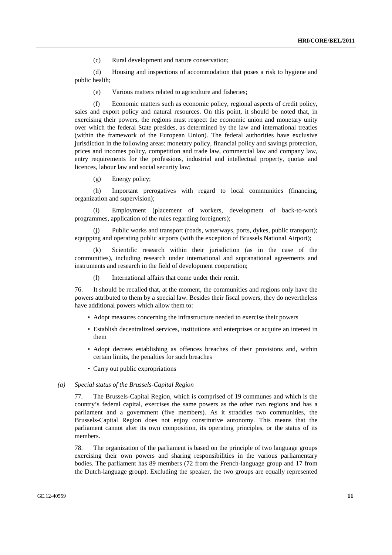(c) Rural development and nature conservation;

(d) Housing and inspections of accommodation that poses a risk to hygiene and public health;

(e) Various matters related to agriculture and fisheries;

(f) Economic matters such as economic policy, regional aspects of credit policy, sales and export policy and natural resources. On this point, it should be noted that, in exercising their powers, the regions must respect the economic union and monetary unity over which the federal State presides, as determined by the law and international treaties (within the framework of the European Union). The federal authorities have exclusive jurisdiction in the following areas: monetary policy, financial policy and savings protection, prices and incomes policy, competition and trade law, commercial law and company law, entry requirements for the professions, industrial and intellectual property, quotas and licences, labour law and social security law;

(g) Energy policy;

(h) Important prerogatives with regard to local communities (financing, organization and supervision);

(i) Employment (placement of workers, development of back-to-work programmes, application of the rules regarding foreigners);

(j) Public works and transport (roads, waterways, ports, dykes, public transport); equipping and operating public airports (with the exception of Brussels National Airport);

(k) Scientific research within their jurisdiction (as in the case of the communities), including research under international and supranational agreements and instruments and research in the field of development cooperation;

(l) International affairs that come under their remit.

76. It should be recalled that, at the moment, the communities and regions only have the powers attributed to them by a special law. Besides their fiscal powers, they do nevertheless have additional powers which allow them to:

- Adopt measures concerning the infrastructure needed to exercise their powers
- Establish decentralized services, institutions and enterprises or acquire an interest in them
- Adopt decrees establishing as offences breaches of their provisions and, within certain limits, the penalties for such breaches
- Carry out public expropriations

#### *(a) Special status of the Brussels-Capital Region*

77. The Brussels-Capital Region, which is comprised of 19 communes and which is the country's federal capital, exercises the same powers as the other two regions and has a parliament and a government (five members). As it straddles two communities, the Brussels-Capital Region does not enjoy constitutive autonomy. This means that the parliament cannot alter its own composition, its operating principles, or the status of its members.

78. The organization of the parliament is based on the principle of two language groups exercising their own powers and sharing responsibilities in the various parliamentary bodies. The parliament has 89 members (72 from the French-language group and 17 from the Dutch-language group). Excluding the speaker, the two groups are equally represented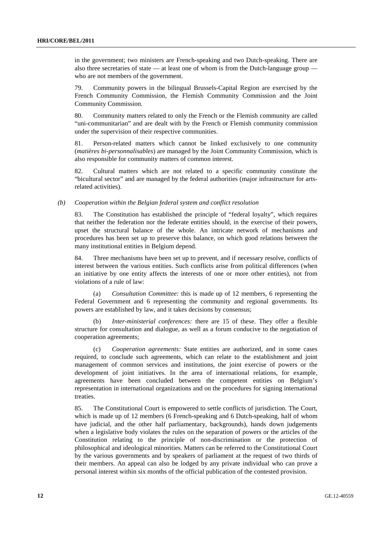in the government; two ministers are French-speaking and two Dutch-speaking. There are also three secretaries of state — at least one of whom is from the Dutch-language group who are not members of the government.

79. Community powers in the bilingual Brussels-Capital Region are exercised by the French Community Commission, the Flemish Community Commission and the Joint Community Commission.

80. Community matters related to only the French or the Flemish community are called "uni-communitarian" and are dealt with by the French or Flemish community commission under the supervision of their respective communities.

81. Person-related matters which cannot be linked exclusively to one community (*matières bi-personnalisables*) are managed by the Joint Community Commission, which is also responsible for community matters of common interest.

82. Cultural matters which are not related to a specific community constitute the "bicultural sector" and are managed by the federal authorities (major infrastructure for artsrelated activities).

#### *(b) Cooperation within the Belgian federal system and conflict resolution*

83. The Constitution has established the principle of "federal loyalty", which requires that neither the federation nor the federate entities should, in the exercise of their powers, upset the structural balance of the whole. An intricate network of mechanisms and procedures has been set up to preserve this balance, on which good relations between the many institutional entities in Belgium depend.

84. Three mechanisms have been set up to prevent, and if necessary resolve, conflicts of interest between the various entities. Such conflicts arise from political differences (when an initiative by one entity affects the interests of one or more other entities), not from violations of a rule of law:

 (a) *Consultation Committee:* this is made up of 12 members, 6 representing the Federal Government and 6 representing the community and regional governments. Its powers are established by law, and it takes decisions by consensus;

 (b) *Inter-ministerial conferences:* there are 15 of these. They offer a flexible structure for consultation and dialogue, as well as a forum conducive to the negotiation of cooperation agreements;

 (c) *Cooperation agreements:* State entities are authorized, and in some cases required, to conclude such agreements, which can relate to the establishment and joint management of common services and institutions, the joint exercise of powers or the development of joint initiatives. In the area of international relations, for example, agreements have been concluded between the competent entities on Belgium's representation in international organizations and on the procedures for signing international treaties.

85. The Constitutional Court is empowered to settle conflicts of jurisdiction. The Court, which is made up of 12 members (6 French-speaking and 6 Dutch-speaking, half of whom have judicial, and the other half parliamentary, backgrounds), hands down judgements when a legislative body violates the rules on the separation of powers or the articles of the Constitution relating to the principle of non-discrimination or the protection of philosophical and ideological minorities. Matters can be referred to the Constitutional Court by the various governments and by speakers of parliament at the request of two thirds of their members. An appeal can also be lodged by any private individual who can prove a personal interest within six months of the official publication of the contested provision.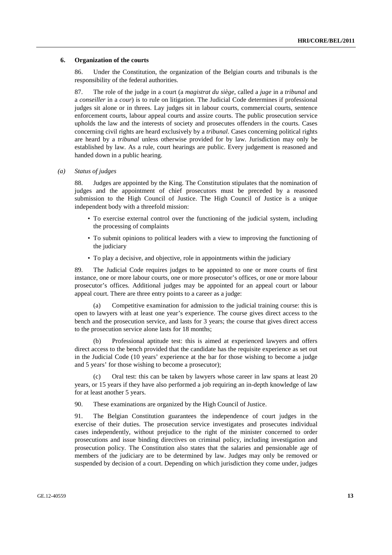#### **6. Organization of the courts**

86. Under the Constitution, the organization of the Belgian courts and tribunals is the responsibility of the federal authorities.

87. The role of the judge in a court (a *magistrat du siège*, called a *juge* in a *tribunal* and a *conseiller* in a *cour*) is to rule on litigation. The Judicial Code determines if professional judges sit alone or in threes. Lay judges sit in labour courts, commercial courts, sentence enforcement courts, labour appeal courts and assize courts. The public prosecution service upholds the law and the interests of society and prosecutes offenders in the courts. Cases concerning civil rights are heard exclusively by a *tribunal*. Cases concerning political rights are heard by a *tribunal* unless otherwise provided for by law. Jurisdiction may only be established by law. As a rule, court hearings are public. Every judgement is reasoned and handed down in a public hearing.

## *(a) Status of judges*

88. Judges are appointed by the King. The Constitution stipulates that the nomination of judges and the appointment of chief prosecutors must be preceded by a reasoned submission to the High Council of Justice. The High Council of Justice is a unique independent body with a threefold mission:

- To exercise external control over the functioning of the judicial system, including the processing of complaints
- To submit opinions to political leaders with a view to improving the functioning of the judiciary
- To play a decisive, and objective, role in appointments within the judiciary

89. The Judicial Code requires judges to be appointed to one or more courts of first instance, one or more labour courts, one or more prosecutor's offices, or one or more labour prosecutor's offices. Additional judges may be appointed for an appeal court or labour appeal court. There are three entry points to a career as a judge:

 (a) Competitive examination for admission to the judicial training course: this is open to lawyers with at least one year's experience. The course gives direct access to the bench and the prosecution service, and lasts for 3 years; the course that gives direct access to the prosecution service alone lasts for 18 months;

 (b) Professional aptitude test: this is aimed at experienced lawyers and offers direct access to the bench provided that the candidate has the requisite experience as set out in the Judicial Code (10 years' experience at the bar for those wishing to become a judge and 5 years' for those wishing to become a prosecutor);

(C) Oral test: this can be taken by lawyers whose career in law spans at least 20 years, or 15 years if they have also performed a job requiring an in-depth knowledge of law for at least another 5 years.

90. These examinations are organized by the High Council of Justice.

91. The Belgian Constitution guarantees the independence of court judges in the exercise of their duties. The prosecution service investigates and prosecutes individual cases independently, without prejudice to the right of the minister concerned to order prosecutions and issue binding directives on criminal policy, including investigation and prosecution policy. The Constitution also states that the salaries and pensionable age of members of the judiciary are to be determined by law. Judges may only be removed or suspended by decision of a court. Depending on which jurisdiction they come under, judges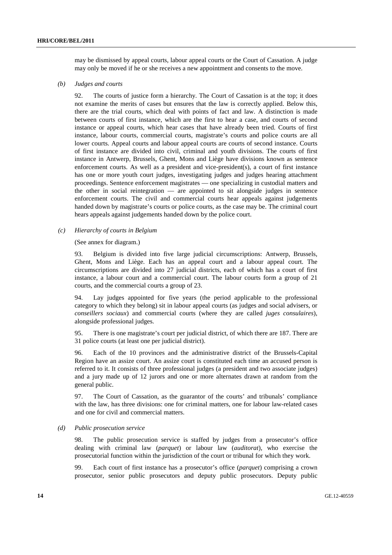may be dismissed by appeal courts, labour appeal courts or the Court of Cassation. A judge may only be moved if he or she receives a new appointment and consents to the move.

#### *(b) Judges and courts*

92. The courts of justice form a hierarchy. The Court of Cassation is at the top; it does not examine the merits of cases but ensures that the law is correctly applied. Below this, there are the trial courts, which deal with points of fact and law. A distinction is made between courts of first instance, which are the first to hear a case, and courts of second instance or appeal courts, which hear cases that have already been tried. Courts of first instance, labour courts, commercial courts, magistrate's courts and police courts are all lower courts. Appeal courts and labour appeal courts are courts of second instance. Courts of first instance are divided into civil, criminal and youth divisions. The courts of first instance in Antwerp, Brussels, Ghent, Mons and Liège have divisions known as sentence enforcement courts. As well as a president and vice-president(s), a court of first instance has one or more youth court judges, investigating judges and judges hearing attachment proceedings. Sentence enforcement magistrates — one specializing in custodial matters and the other in social reintegration — are appointed to sit alongside judges in sentence enforcement courts. The civil and commercial courts hear appeals against judgements handed down by magistrate's courts or police courts, as the case may be. The criminal court hears appeals against judgements handed down by the police court.

#### *(c) Hierarchy of courts in Belgium*

(See annex for diagram.)

93. Belgium is divided into five large judicial circumscriptions: Antwerp, Brussels, Ghent, Mons and Liège. Each has an appeal court and a labour appeal court. The circumscriptions are divided into 27 judicial districts, each of which has a court of first instance, a labour court and a commercial court. The labour courts form a group of 21 courts, and the commercial courts a group of 23.

94. Lay judges appointed for five years (the period applicable to the professional category to which they belong) sit in labour appeal courts (as judges and social advisers, or *conseillers sociaux*) and commercial courts (where they are called *juges consulaires*), alongside professional judges.

95. There is one magistrate's court per judicial district, of which there are 187. There are 31 police courts (at least one per judicial district).

96. Each of the 10 provinces and the administrative district of the Brussels-Capital Region have an assize court. An assize court is constituted each time an accused person is referred to it. It consists of three professional judges (a president and two associate judges) and a jury made up of 12 jurors and one or more alternates drawn at random from the general public.

97. The Court of Cassation, as the guarantor of the courts' and tribunals' compliance with the law, has three divisions: one for criminal matters, one for labour law-related cases and one for civil and commercial matters.

#### *(d) Public prosecution service*

98. The public prosecution service is staffed by judges from a prosecutor's office dealing with criminal law (*parquet*) or labour law (*auditorat*), who exercise the prosecutorial function within the jurisdiction of the court or tribunal for which they work.

99. Each court of first instance has a prosecutor's office (*parquet*) comprising a crown prosecutor, senior public prosecutors and deputy public prosecutors. Deputy public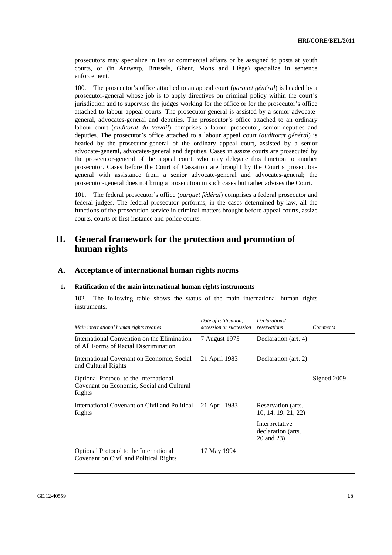prosecutors may specialize in tax or commercial affairs or be assigned to posts at youth courts, or (in Antwerp, Brussels, Ghent, Mons and Liège) specialize in sentence enforcement.

100. The prosecutor's office attached to an appeal court (*parquet général*) is headed by a prosecutor-general whose job is to apply directives on criminal policy within the court's jurisdiction and to supervise the judges working for the office or for the prosecutor's office attached to labour appeal courts. The prosecutor-general is assisted by a senior advocategeneral, advocates-general and deputies. The prosecutor's office attached to an ordinary labour court (*auditorat du travail*) comprises a labour prosecutor, senior deputies and deputies. The prosecutor's office attached to a labour appeal court (*auditorat général*) is headed by the prosecutor-general of the ordinary appeal court, assisted by a senior advocate-general, advocates-general and deputies. Cases in assize courts are prosecuted by the prosecutor-general of the appeal court, who may delegate this function to another prosecutor. Cases before the Court of Cassation are brought by the Court's prosecutorgeneral with assistance from a senior advocate-general and advocates-general; the prosecutor-general does not bring a prosecution in such cases but rather advises the Court.

101. The federal prosecutor's office (*parquet fédéral*) comprises a federal prosecutor and federal judges. The federal prosecutor performs, in the cases determined by law, all the functions of the prosecution service in criminal matters brought before appeal courts, assize courts, courts of first instance and police courts.

## **II. General framework for the protection and promotion of human rights**

### **A. Acceptance of international human rights norms**

#### **1. Ratification of the main international human rights instruments**

102. The following table shows the status of the main international human rights instruments.

| Main international human rights treaties                                                      | Date of ratification,<br>accession or succession | Declarations/<br>reservations                      | <b>Comments</b> |
|-----------------------------------------------------------------------------------------------|--------------------------------------------------|----------------------------------------------------|-----------------|
| International Convention on the Elimination<br>of All Forms of Racial Discrimination          | 7 August 1975                                    | Declaration (art. 4)                               |                 |
| International Covenant on Economic, Social<br>and Cultural Rights                             | 21 April 1983                                    | Declaration (art. 2)                               |                 |
| Optional Protocol to the International<br>Covenant on Economic, Social and Cultural<br>Rights |                                                  |                                                    | Signed 2009     |
| International Covenant on Civil and Political<br>Rights                                       | 21 April 1983                                    | Reservation (arts.<br>10, 14, 19, 21, 22)          |                 |
|                                                                                               |                                                  | Interpretative<br>declaration (arts.<br>20 and 23) |                 |
| Optional Protocol to the International<br>Covenant on Civil and Political Rights              | 17 May 1994                                      |                                                    |                 |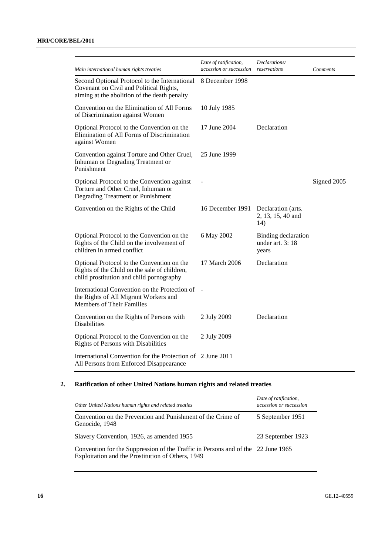| Main international human rights treaties                                                                                                 | Date of ratification,<br>accession or succession | Declarations/<br>reservations                   | Comments    |
|------------------------------------------------------------------------------------------------------------------------------------------|--------------------------------------------------|-------------------------------------------------|-------------|
| Second Optional Protocol to the International<br>Covenant on Civil and Political Rights,<br>aiming at the abolition of the death penalty | 8 December 1998                                  |                                                 |             |
| Convention on the Elimination of All Forms<br>of Discrimination against Women                                                            | 10 July 1985                                     |                                                 |             |
| Optional Protocol to the Convention on the<br>Elimination of All Forms of Discrimination<br>against Women                                | 17 June 2004                                     | Declaration                                     |             |
| Convention against Torture and Other Cruel,<br>Inhuman or Degrading Treatment or<br>Punishment                                           | 25 June 1999                                     |                                                 |             |
| Optional Protocol to the Convention against<br>Torture and Other Cruel, Inhuman or<br>Degrading Treatment or Punishment                  |                                                  |                                                 | Signed 2005 |
| Convention on the Rights of the Child                                                                                                    | 16 December 1991                                 | Declaration (arts.<br>2, 13, 15, 40 and<br>14)  |             |
| Optional Protocol to the Convention on the<br>Rights of the Child on the involvement of<br>children in armed conflict                    | 6 May 2002                                       | Binding declaration<br>under art. 3:18<br>years |             |
| Optional Protocol to the Convention on the<br>Rights of the Child on the sale of children,<br>child prostitution and child pornography   | 17 March 2006                                    | Declaration                                     |             |
| International Convention on the Protection of -<br>the Rights of All Migrant Workers and<br><b>Members of Their Families</b>             |                                                  |                                                 |             |
| Convention on the Rights of Persons with<br><b>Disabilities</b>                                                                          | 2 July 2009                                      | Declaration                                     |             |
| Optional Protocol to the Convention on the<br>Rights of Persons with Disabilities                                                        | 2 July 2009                                      |                                                 |             |
| International Convention for the Protection of 2 June 2011<br>All Persons from Enforced Disappearance                                    |                                                  |                                                 |             |

## **2. Ratification of other United Nations human rights and related treaties**

| Other United Nations human rights and related treaties                                                                                | Date of ratification,<br>accession or succession |
|---------------------------------------------------------------------------------------------------------------------------------------|--------------------------------------------------|
| Convention on the Prevention and Punishment of the Crime of<br>Genocide, 1948                                                         | 5 September 1951                                 |
| Slavery Convention, 1926, as amended 1955                                                                                             | 23 September 1923                                |
| Convention for the Suppression of the Traffic in Persons and of the 22 June 1965<br>Exploitation and the Prostitution of Others, 1949 |                                                  |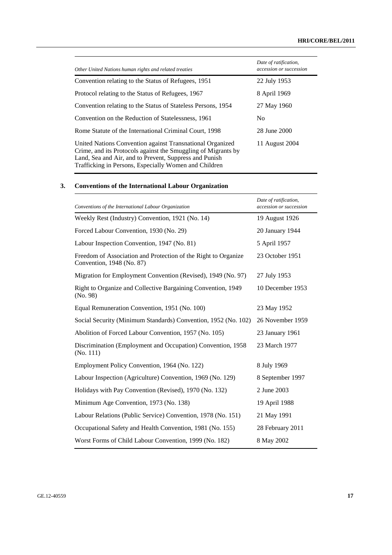| Other United Nations human rights and related treaties                                                                                                                                                                                        | Date of ratification,<br>accession or succession |
|-----------------------------------------------------------------------------------------------------------------------------------------------------------------------------------------------------------------------------------------------|--------------------------------------------------|
| Convention relating to the Status of Refugees, 1951                                                                                                                                                                                           | 22 July 1953                                     |
| Protocol relating to the Status of Refugees, 1967                                                                                                                                                                                             | 8 April 1969                                     |
| Convention relating to the Status of Stateless Persons, 1954                                                                                                                                                                                  | 27 May 1960                                      |
| Convention on the Reduction of Statelessness, 1961                                                                                                                                                                                            | No.                                              |
| Rome Statute of the International Criminal Court, 1998                                                                                                                                                                                        | 28 June 2000                                     |
| United Nations Convention against Transnational Organized<br>Crime, and its Protocols against the Smuggling of Migrants by<br>Land, Sea and Air, and to Prevent, Suppress and Punish<br>Trafficking in Persons, Especially Women and Children | 11 August 2004                                   |

## **3. Conventions of the International Labour Organization**

| Conventions of the International Labour Organization                                        | Date of ratification,<br>accession or succession |
|---------------------------------------------------------------------------------------------|--------------------------------------------------|
| Weekly Rest (Industry) Convention, 1921 (No. 14)                                            | 19 August 1926                                   |
| Forced Labour Convention, 1930 (No. 29)                                                     | 20 January 1944                                  |
| Labour Inspection Convention, 1947 (No. 81)                                                 | 5 April 1957                                     |
| Freedom of Association and Protection of the Right to Organize<br>Convention, 1948 (No. 87) | 23 October 1951                                  |
| Migration for Employment Convention (Revised), 1949 (No. 97)                                | 27 July 1953                                     |
| Right to Organize and Collective Bargaining Convention, 1949<br>(No. 98)                    | 10 December 1953                                 |
| Equal Remuneration Convention, 1951 (No. 100)                                               | 23 May 1952                                      |
| Social Security (Minimum Standards) Convention, 1952 (No. 102)                              | 26 November 1959                                 |
| Abolition of Forced Labour Convention, 1957 (No. 105)                                       | 23 January 1961                                  |
| Discrimination (Employment and Occupation) Convention, 1958<br>(No. 111)                    | 23 March 1977                                    |
| Employment Policy Convention, 1964 (No. 122)                                                | 8 July 1969                                      |
| Labour Inspection (Agriculture) Convention, 1969 (No. 129)                                  | 8 September 1997                                 |
| Holidays with Pay Convention (Revised), 1970 (No. 132)                                      | 2 June 2003                                      |
| Minimum Age Convention, 1973 (No. 138)                                                      | 19 April 1988                                    |
| Labour Relations (Public Service) Convention, 1978 (No. 151)                                | 21 May 1991                                      |
| Occupational Safety and Health Convention, 1981 (No. 155)                                   | 28 February 2011                                 |
| Worst Forms of Child Labour Convention, 1999 (No. 182)                                      | 8 May 2002                                       |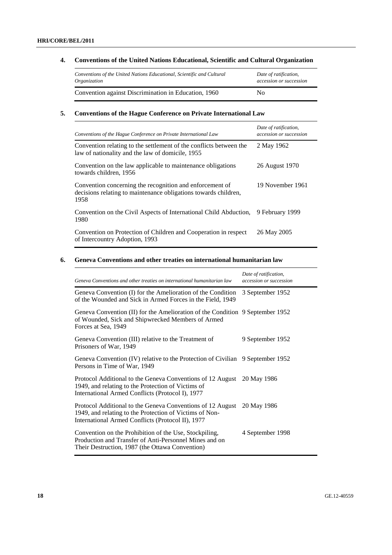### **HRI/CORE/BEL/2011**

## **4. Conventions of the United Nations Educational, Scientific and Cultural Organization**

| Conventions of the United Nations Educational, Scientific and Cultural | Date of ratification,   |  |
|------------------------------------------------------------------------|-------------------------|--|
| Organization                                                           | accession or succession |  |
| Convention against Discrimination in Education, 1960                   | No.                     |  |

## **5. Conventions of the Hague Conference on Private International Law**

| Conventions of the Hague Conference on Private International Law                                                                    | Date of ratification,<br>accession or succession |
|-------------------------------------------------------------------------------------------------------------------------------------|--------------------------------------------------|
| Convention relating to the settlement of the conflicts between the<br>law of nationality and the law of domicile, 1955              | 2 May 1962                                       |
| Convention on the law applicable to maintenance obligations<br>towards children, 1956                                               | 26 August 1970                                   |
| Convention concerning the recognition and enforcement of<br>decisions relating to maintenance obligations towards children,<br>1958 | 19 November 1961                                 |
| Convention on the Civil Aspects of International Child Abduction,<br>1980                                                           | 9 February 1999                                  |
| Convention on Protection of Children and Cooperation in respect<br>of Intercountry Adoption, 1993                                   | 26 May 2005                                      |

## **6. Geneva Conventions and other treaties on international humanitarian law**

| Geneva Conventions and other treaties on international humanitarian law                                                                                                          | Date of ratification,<br>accession or succession |
|----------------------------------------------------------------------------------------------------------------------------------------------------------------------------------|--------------------------------------------------|
| Geneva Convention (I) for the Amelioration of the Condition<br>of the Wounded and Sick in Armed Forces in the Field, 1949                                                        | 3 September 1952                                 |
| Geneva Convention (II) for the Amelioration of the Condition 9 September 1952<br>of Wounded, Sick and Shipwrecked Members of Armed<br>Forces at Sea, 1949                        |                                                  |
| Geneva Convention (III) relative to the Treatment of<br>Prisoners of War, 1949                                                                                                   | 9 September 1952                                 |
| Geneva Convention (IV) relative to the Protection of Civilian 9 September 1952<br>Persons in Time of War, 1949                                                                   |                                                  |
| Protocol Additional to the Geneva Conventions of 12 August 20 May 1986<br>1949, and relating to the Protection of Victims of<br>International Armed Conflicts (Protocol I), 1977 |                                                  |
| Protocol Additional to the Geneva Conventions of 12 August<br>1949, and relating to the Protection of Victims of Non-<br>International Armed Conflicts (Protocol II), 1977       | 20 May 1986                                      |
| Convention on the Prohibition of the Use, Stockpiling,<br>Production and Transfer of Anti-Personnel Mines and on<br>Their Destruction, 1987 (the Ottawa Convention)              | 4 September 1998                                 |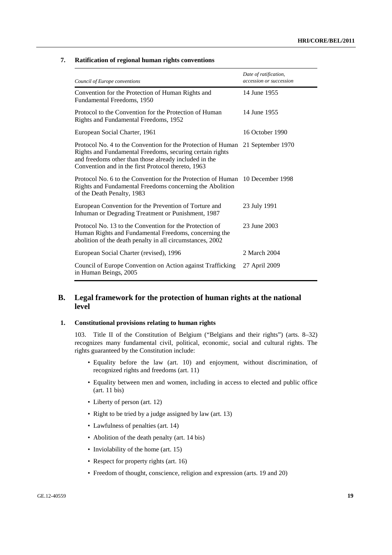## **7. Ratification of regional human rights conventions**

| Council of Europe conventions                                                                                                                                                                                                                             | Date of ratification,<br>accession or succession |
|-----------------------------------------------------------------------------------------------------------------------------------------------------------------------------------------------------------------------------------------------------------|--------------------------------------------------|
| Convention for the Protection of Human Rights and<br>Fundamental Freedoms, 1950                                                                                                                                                                           | 14 June 1955                                     |
| Protocol to the Convention for the Protection of Human<br>Rights and Fundamental Freedoms, 1952                                                                                                                                                           | 14 June 1955                                     |
| European Social Charter, 1961                                                                                                                                                                                                                             | 16 October 1990                                  |
| Protocol No. 4 to the Convention for the Protection of Human 21 September 1970<br>Rights and Fundamental Freedoms, securing certain rights<br>and freedoms other than those already included in the<br>Convention and in the first Protocol thereto, 1963 |                                                  |
| Protocol No. 6 to the Convention for the Protection of Human 10 December 1998<br>Rights and Fundamental Freedoms concerning the Abolition<br>of the Death Penalty, 1983                                                                                   |                                                  |
| European Convention for the Prevention of Torture and<br>Inhuman or Degrading Treatment or Punishment, 1987                                                                                                                                               | 23 July 1991                                     |
| Protocol No. 13 to the Convention for the Protection of<br>Human Rights and Fundamental Freedoms, concerning the<br>abolition of the death penalty in all circumstances, 2002                                                                             | 23 June 2003                                     |
| European Social Charter (revised), 1996                                                                                                                                                                                                                   | 2 March 2004                                     |
| Council of Europe Convention on Action against Trafficking<br>in Human Beings, 2005                                                                                                                                                                       | 27 April 2009                                    |

## **B. Legal framework for the protection of human rights at the national level**

#### **1. Constitutional provisions relating to human rights**

103. Title II of the Constitution of Belgium ("Belgians and their rights") (arts. 8–32) recognizes many fundamental civil, political, economic, social and cultural rights. The rights guaranteed by the Constitution include:

- Equality before the law (art. 10) and enjoyment, without discrimination, of recognized rights and freedoms (art. 11)
- Equality between men and women, including in access to elected and public office (art. 11 bis)
- Liberty of person (art. 12)
- Right to be tried by a judge assigned by law (art. 13)
- Lawfulness of penalties (art. 14)
- Abolition of the death penalty (art. 14 bis)
- Inviolability of the home (art. 15)
- Respect for property rights (art. 16)
- Freedom of thought, conscience, religion and expression (arts. 19 and 20)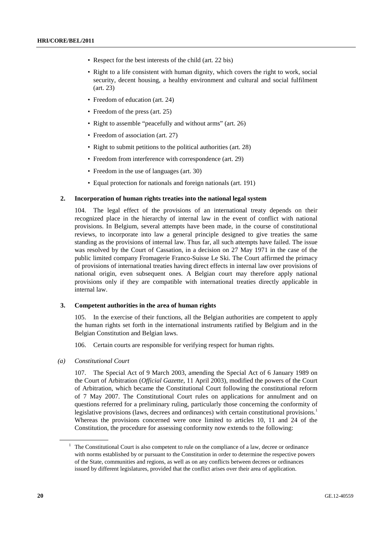- Respect for the best interests of the child (art. 22 bis)
- Right to a life consistent with human dignity, which covers the right to work, social security, decent housing, a healthy environment and cultural and social fulfilment (art. 23)
- Freedom of education (art. 24)
- Freedom of the press (art. 25)
- Right to assemble "peacefully and without arms" (art. 26)
- Freedom of association (art. 27)
- Right to submit petitions to the political authorities (art. 28)
- Freedom from interference with correspondence (art. 29)
- Freedom in the use of languages (art. 30)
- Equal protection for nationals and foreign nationals (art. 191)

#### **2. Incorporation of human rights treaties into the national legal system**

104. The legal effect of the provisions of an international treaty depends on their recognized place in the hierarchy of internal law in the event of conflict with national provisions. In Belgium, several attempts have been made, in the course of constitutional reviews, to incorporate into law a general principle designed to give treaties the same standing as the provisions of internal law. Thus far, all such attempts have failed. The issue was resolved by the Court of Cassation, in a decision on 27 May 1971 in the case of the public limited company Fromagerie Franco-Suisse Le Ski. The Court affirmed the primacy of provisions of international treaties having direct effects in internal law over provisions of national origin, even subsequent ones. A Belgian court may therefore apply national provisions only if they are compatible with international treaties directly applicable in internal law.

#### **3. Competent authorities in the area of human rights**

105. In the exercise of their functions, all the Belgian authorities are competent to apply the human rights set forth in the international instruments ratified by Belgium and in the Belgian Constitution and Belgian laws.

106. Certain courts are responsible for verifying respect for human rights.

 *(a) Constitutional Court* 

107. The Special Act of 9 March 2003, amending the Special Act of 6 January 1989 on the Court of Arbitration (*Official Gazette*, 11 April 2003), modified the powers of the Court of Arbitration, which became the Constitutional Court following the constitutional reform of 7 May 2007. The Constitutional Court rules on applications for annulment and on questions referred for a preliminary ruling, particularly those concerning the conformity of legislative provisions (laws, decrees and ordinances) with certain constitutional provisions.<sup>1</sup> Whereas the provisions concerned were once limited to articles 10, 11 and 24 of the Constitution, the procedure for assessing conformity now extends to the following:

 $<sup>1</sup>$  The Constitutional Court is also competent to rule on the compliance of a law, decree or ordinance</sup> with norms established by or pursuant to the Constitution in order to determine the respective powers of the State, communities and regions, as well as on any conflicts between decrees or ordinances issued by different legislatures, provided that the conflict arises over their area of application.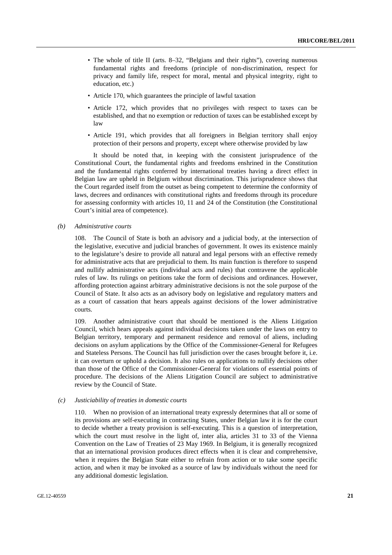- The whole of title II (arts. 8–32, "Belgians and their rights"), covering numerous fundamental rights and freedoms (principle of non-discrimination, respect for privacy and family life, respect for moral, mental and physical integrity, right to education, etc.)
- Article 170, which guarantees the principle of lawful taxation
- Article 172, which provides that no privileges with respect to taxes can be established, and that no exemption or reduction of taxes can be established except by law
- Article 191, which provides that all foreigners in Belgian territory shall enjoy protection of their persons and property, except where otherwise provided by law

 It should be noted that, in keeping with the consistent jurisprudence of the Constitutional Court, the fundamental rights and freedoms enshrined in the Constitution and the fundamental rights conferred by international treaties having a direct effect in Belgian law are upheld in Belgium without discrimination. This jurisprudence shows that the Court regarded itself from the outset as being competent to determine the conformity of laws, decrees and ordinances with constitutional rights and freedoms through its procedure for assessing conformity with articles 10, 11 and 24 of the Constitution (the Constitutional Court's initial area of competence).

 *(b) Administrative courts* 

108. The Council of State is both an advisory and a judicial body, at the intersection of the legislative, executive and judicial branches of government. It owes its existence mainly to the legislature's desire to provide all natural and legal persons with an effective remedy for administrative acts that are prejudicial to them. Its main function is therefore to suspend and nullify administrative acts (individual acts and rules) that contravene the applicable rules of law. Its rulings on petitions take the form of decisions and ordinances. However, affording protection against arbitrary administrative decisions is not the sole purpose of the Council of State. It also acts as an advisory body on legislative and regulatory matters and as a court of cassation that hears appeals against decisions of the lower administrative courts.

109. Another administrative court that should be mentioned is the Aliens Litigation Council, which hears appeals against individual decisions taken under the laws on entry to Belgian territory, temporary and permanent residence and removal of aliens, including decisions on asylum applications by the Office of the Commissioner-General for Refugees and Stateless Persons. The Council has full jurisdiction over the cases brought before it, i.e. it can overturn or uphold a decision. It also rules on applications to nullify decisions other than those of the Office of the Commissioner-General for violations of essential points of procedure. The decisions of the Aliens Litigation Council are subject to administrative review by the Council of State.

#### *(c) Justiciability of treaties in domestic courts*

110. When no provision of an international treaty expressly determines that all or some of its provisions are self-executing in contracting States, under Belgian law it is for the court to decide whether a treaty provision is self-executing. This is a question of interpretation, which the court must resolve in the light of, inter alia, articles 31 to 33 of the Vienna Convention on the Law of Treaties of 23 May 1969. In Belgium, it is generally recognized that an international provision produces direct effects when it is clear and comprehensive, when it requires the Belgian State either to refrain from action or to take some specific action, and when it may be invoked as a source of law by individuals without the need for any additional domestic legislation.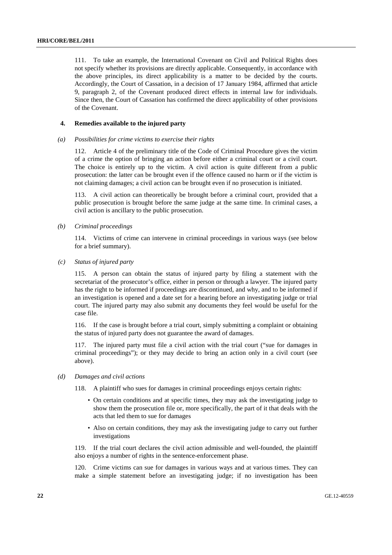111. To take an example, the International Covenant on Civil and Political Rights does not specify whether its provisions are directly applicable. Consequently, in accordance with the above principles, its direct applicability is a matter to be decided by the courts. Accordingly, the Court of Cassation, in a decision of 17 January 1984, affirmed that article 9, paragraph 2, of the Covenant produced direct effects in internal law for individuals. Since then, the Court of Cassation has confirmed the direct applicability of other provisions of the Covenant.

#### **4. Remedies available to the injured party**

#### *(a) Possibilities for crime victims to exercise their rights*

112. Article 4 of the preliminary title of the Code of Criminal Procedure gives the victim of a crime the option of bringing an action before either a criminal court or a civil court. The choice is entirely up to the victim. A civil action is quite different from a public prosecution: the latter can be brought even if the offence caused no harm or if the victim is not claiming damages; a civil action can be brought even if no prosecution is initiated.

113. A civil action can theoretically be brought before a criminal court, provided that a public prosecution is brought before the same judge at the same time. In criminal cases, a civil action is ancillary to the public prosecution.

 *(b) Criminal proceedings* 

114. Victims of crime can intervene in criminal proceedings in various ways (see below for a brief summary).

 *(c) Status of injured party* 

115. A person can obtain the status of injured party by filing a statement with the secretariat of the prosecutor's office, either in person or through a lawyer. The injured party has the right to be informed if proceedings are discontinued, and why, and to be informed if an investigation is opened and a date set for a hearing before an investigating judge or trial court. The injured party may also submit any documents they feel would be useful for the case file.

116. If the case is brought before a trial court, simply submitting a complaint or obtaining the status of injured party does not guarantee the award of damages.

117. The injured party must file a civil action with the trial court ("sue for damages in criminal proceedings"); or they may decide to bring an action only in a civil court (see above).

 *(d) Damages and civil actions* 

118. A plaintiff who sues for damages in criminal proceedings enjoys certain rights:

- On certain conditions and at specific times, they may ask the investigating judge to show them the prosecution file or, more specifically, the part of it that deals with the acts that led them to sue for damages
- Also on certain conditions, they may ask the investigating judge to carry out further investigations

119. If the trial court declares the civil action admissible and well-founded, the plaintiff also enjoys a number of rights in the sentence-enforcement phase.

120. Crime victims can sue for damages in various ways and at various times. They can make a simple statement before an investigating judge; if no investigation has been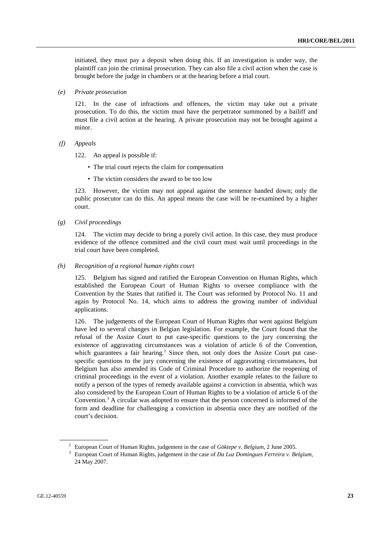initiated, they must pay a deposit when doing this. If an investigation is under way, the plaintiff can join the criminal prosecution. They can also file a civil action when the case is brought before the judge in chambers or at the hearing before a trial court.

 *(e) Private prosecution* 

121. In the case of infractions and offences, the victim may take out a private prosecution. To do this, the victim must have the perpetrator summoned by a bailiff and must file a civil action at the hearing. A private prosecution may not be brought against a minor.

 *(f) Appeals* 

122. An appeal is possible if:

- The trial court rejects the claim for compensation
- The victim considers the award to be too low

123. However, the victim may not appeal against the sentence handed down; only the public prosecutor can do this. An appeal means the case will be re-examined by a higher court.

 *(g) Civil proceedings* 

124. The victim may decide to bring a purely civil action. In this case, they must produce evidence of the offence committed and the civil court must wait until proceedings in the trial court have been completed.

 *(h) Recognition of a regional human rights court* 

125. Belgium has signed and ratified the European Convention on Human Rights, which established the European Court of Human Rights to oversee compliance with the Convention by the States that ratified it. The Court was reformed by Protocol No. 11 and again by Protocol No. 14, which aims to address the growing number of individual applications.

126. The judgements of the European Court of Human Rights that went against Belgium have led to several changes in Belgian legislation. For example, the Court found that the refusal of the Assize Court to put case-specific questions to the jury concerning the existence of aggravating circumstances was a violation of article 6 of the Convention, which guarantees a fair hearing.<sup>2</sup> Since then, not only does the Assize Court put casespecific questions to the jury concerning the existence of aggravating circumstances, but Belgium has also amended its Code of Criminal Procedure to authorize the reopening of criminal proceedings in the event of a violation. Another example relates to the failure to notify a person of the types of remedy available against a conviction in absentia, which was also considered by the European Court of Human Rights to be a violation of article 6 of the Convention.<sup>3</sup> A circular was adopted to ensure that the person concerned is informed of the form and deadline for challenging a conviction in absentia once they are notified of the court's decision.

<sup>&</sup>lt;sup>2</sup> European Court of Human Rights, judgement in the case of *Göktepe v. Belgium*, 2 June 2005.

European Court of Human Rights, judgement in the case of *Da Luz Domingues Ferreira v. Belgium*, 24 May 2007.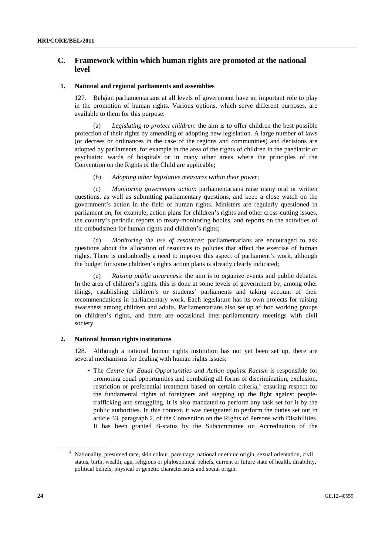## **C. Framework within which human rights are promoted at the national level**

#### **1. National and regional parliaments and assemblies**

127. Belgian parliamentarians at all levels of government have an important role to play in the promotion of human rights. Various options, which serve different purposes, are available to them for this purpose:

(a) *Legislating to protect children*: the aim is to offer children the best possible protection of their rights by amending or adopting new legislation. A large number of laws (or decrees or ordinances in the case of the regions and communities) and decisions are adopted by parliaments, for example in the area of the rights of children in the paediatric or psychiatric wards of hospitals or in many other areas where the principles of the Convention on the Rights of the Child are applicable;

#### (b) *Adopting other legislative measures within their power*;

(c) *Monitoring government action*: parliamentarians raise many oral or written questions, as well as submitting parliamentary questions, and keep a close watch on the government's action in the field of human rights. Ministers are regularly questioned in parliament on, for example, action plans for children's rights and other cross-cutting issues, the country's periodic reports to treaty-monitoring bodies, and reports on the activities of the ombudsmen for human rights and children's rights;

(d) *Monitoring the use of resources*: parliamentarians are encouraged to ask questions about the allocation of resources to policies that affect the exercise of human rights. There is undoubtedly a need to improve this aspect of parliament's work, although the budget for some children's rights action plans is already clearly indicated;

*Raising public awareness*: the aim is to organize events and public debates. In the area of children's rights, this is done at some levels of government by, among other things, establishing children's or students' parliaments and taking account of their recommendations in parliamentary work. Each legislature has its own projects for raising awareness among children and adults. Parliamentarians also set up ad hoc working groups on children's rights, and there are occasional inter-parliamentary meetings with civil society.

### **2. National human rights institutions**

128. Although a national human rights institution has not yet been set up, there are several mechanisms for dealing with human rights issues:

• The *Centre for Equal Opportunities and Action against Racism* is responsible for promoting equal opportunities and combating all forms of discrimination, exclusion, restriction or preferential treatment based on certain criteria,<sup>4</sup> ensuring respect for the fundamental rights of foreigners and stepping up the fight against peopletrafficking and smuggling. It is also mandated to perform any task set for it by the public authorities. In this context, it was designated to perform the duties set out in article 33, paragraph 2, of the Convention on the Rights of Persons with Disabilities. It has been granted B-status by the Subcommittee on Accreditation of the

<sup>&</sup>lt;sup>4</sup> Nationality, presumed race, skin colour, parentage, national or ethnic origin, sexual orientation, civil status, birth, wealth, age, religious or philosophical beliefs, current or future state of health, disability, political beliefs, physical or genetic characteristics and social origin.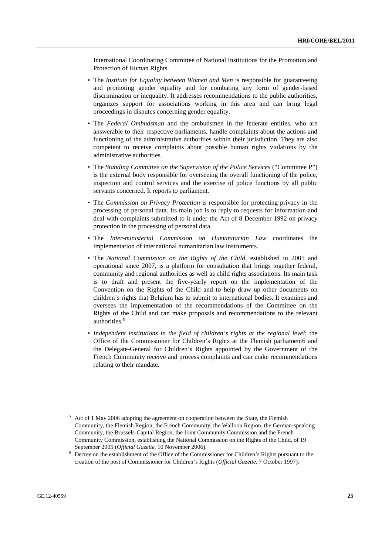International Coordinating Committee of National Institutions for the Promotion and Protection of Human Rights.

- The *Institute for Equality between Women and Men* is responsible for guaranteeing and promoting gender equality and for combating any form of gender-based discrimination or inequality. It addresses recommendations to the public authorities, organizes support for associations working in this area and can bring legal proceedings in disputes concerning gender equality.
- The *Federal Ombudsman* and the ombudsmen in the federate entities, who are answerable to their respective parliaments, handle complaints about the actions and functioning of the administrative authorities within their jurisdiction. They are also competent to receive complaints about possible human rights violations by the administrative authorities.
- The *Standing Committee on the Supervision of the Police Services* ("Committee P") is the external body responsible for overseeing the overall functioning of the police, inspection and control services and the exercise of police functions by all public servants concerned. It reports to parliament.
- The *Commission on Privacy Protection* is responsible for protecting privacy in the processing of personal data. Its main job is to reply to requests for information and deal with complaints submitted to it under the Act of 8 December 1992 on privacy protection in the processing of personal data.
- The *Inter-ministerial Commission on Humanitarian Law* coordinates the implementation of international humanitarian law instruments.
- The *National Commission on the Rights of the Child*, established in 2005 and operational since 2007, is a platform for consultation that brings together federal, community and regional authorities as well as child rights associations. Its main task is to draft and present the five-yearly report on the implementation of the Convention on the Rights of the Child and to help draw up other documents on children's rights that Belgium has to submit to international bodies. It examines and oversees the implementation of the recommendations of the Committee on the Rights of the Child and can make proposals and recommendations to the relevant authorities.<sup>5</sup>
- *Independent institutions in the field of children's rights at the regional level*: the Office of the Commissioner for Children's Rights at the Flemish parliament6 and the Delegate-General for Children's Rights appointed by the Government of the French Community receive and process complaints and can make recommendations relating to their mandate.

<sup>&</sup>lt;sup>5</sup> Act of 1 May 2006 adopting the agreement on cooperation between the State, the Flemish Community, the Flemish Region, the French Community, the Walloon Region, the German-speaking Community, the Brussels-Capital Region, the Joint Community Commission and the French Community Commission, establishing the National Commission on the Rights of the Child, of 19 September 2005 (*Official Gazette*, 10 November 2006).

Decree on the establishment of the Office of the Commissioner for Children's Rights pursuant to the creation of the post of Commissioner for Children's Rights (*Official Gazette*, 7 October 1997).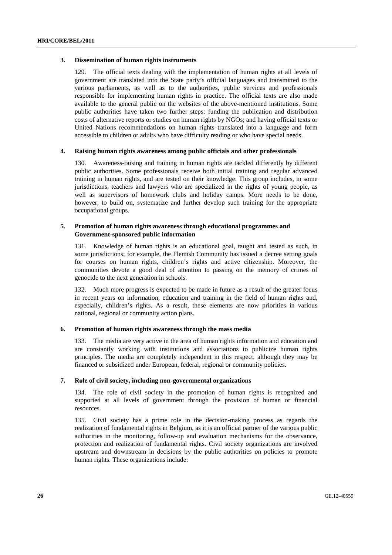#### **3. Dissemination of human rights instruments**

129. The official texts dealing with the implementation of human rights at all levels of government are translated into the State party's official languages and transmitted to the various parliaments, as well as to the authorities, public services and professionals responsible for implementing human rights in practice. The official texts are also made available to the general public on the websites of the above-mentioned institutions. Some public authorities have taken two further steps: funding the publication and distribution costs of alternative reports or studies on human rights by NGOs; and having official texts or United Nations recommendations on human rights translated into a language and form accessible to children or adults who have difficulty reading or who have special needs.

#### **4. Raising human rights awareness among public officials and other professionals**

130. Awareness-raising and training in human rights are tackled differently by different public authorities. Some professionals receive both initial training and regular advanced training in human rights, and are tested on their knowledge. This group includes, in some jurisdictions, teachers and lawyers who are specialized in the rights of young people, as well as supervisors of homework clubs and holiday camps. More needs to be done, however, to build on, systematize and further develop such training for the appropriate occupational groups.

#### **5. Promotion of human rights awareness through educational programmes and Government-sponsored public information**

131. Knowledge of human rights is an educational goal, taught and tested as such, in some jurisdictions; for example, the Flemish Community has issued a decree setting goals for courses on human rights, children's rights and active citizenship. Moreover, the communities devote a good deal of attention to passing on the memory of crimes of genocide to the next generation in schools.

132. Much more progress is expected to be made in future as a result of the greater focus in recent years on information, education and training in the field of human rights and, especially, children's rights. As a result, these elements are now priorities in various national, regional or community action plans.

#### **6. Promotion of human rights awareness through the mass media**

133. The media are very active in the area of human rights information and education and are constantly working with institutions and associations to publicize human rights principles. The media are completely independent in this respect, although they may be financed or subsidized under European, federal, regional or community policies.

#### **7. Role of civil society, including non-governmental organizations**

134. The role of civil society in the promotion of human rights is recognized and supported at all levels of government through the provision of human or financial resources.

135. Civil society has a prime role in the decision-making process as regards the realization of fundamental rights in Belgium, as it is an official partner of the various public authorities in the monitoring, follow-up and evaluation mechanisms for the observance, protection and realization of fundamental rights. Civil society organizations are involved upstream and downstream in decisions by the public authorities on policies to promote human rights. These organizations include: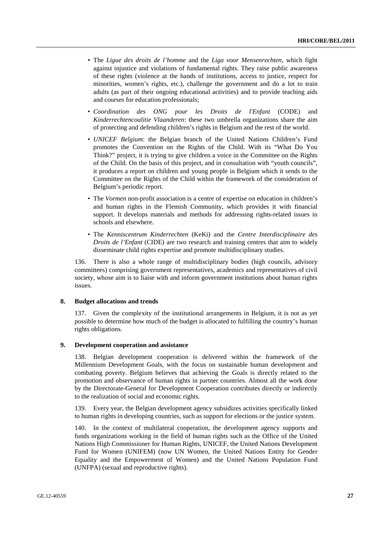- The *Ligue des droits de l'homme* and the *Liga voor Mensenrechten*, which fight against injustice and violations of fundamental rights. They raise public awareness of these rights (violence at the hands of institutions, access to justice, respect for minorities, women's rights, etc.), challenge the government and do a lot to train adults (as part of their ongoing educational activities) and to provide teaching aids and courses for education professionals;
- *Coordination des ONG pour les Droits de l'Enfant* (CODE) and *Kinderrechtencoalitie Vlaanderen*: these two umbrella organizations share the aim of protecting and defending children's rights in Belgium and the rest of the world.
- *UNICEF Belgium*: the Belgian branch of the United Nations Children's Fund promotes the Convention on the Rights of the Child. With its "What Do You Think?" project, it is trying to give children a voice in the Committee on the Rights of the Child. On the basis of this project, and in consultation with "youth councils", it produces a report on children and young people in Belgium which it sends to the Committee on the Rights of the Child within the framework of the consideration of Belgium's periodic report.
- The *Vormen* non-profit association is a centre of expertise on education in children's and human rights in the Flemish Community, which provides it with financial support. It develops materials and methods for addressing rights-related issues in schools and elsewhere.
- The *Kenniscentrum Kinderrechten* (KeKi) and the *Centre Interdisciplinaire des Droits de l'Enfant* (CIDE) are two research and training centres that aim to widely disseminate child rights expertise and promote multidisciplinary studies.

136. There is also a whole range of multidisciplinary bodies (high councils, advisory committees) comprising government representatives, academics and representatives of civil society, whose aim is to liaise with and inform government institutions about human rights issues.

#### **8. Budget allocations and trends**

137. Given the complexity of the institutional arrangements in Belgium, it is not as yet possible to determine how much of the budget is allocated to fulfilling the country's human rights obligations.

#### **9. Development cooperation and assistance**

138. Belgian development cooperation is delivered within the framework of the Millennium Development Goals, with the focus on sustainable human development and combating poverty. Belgium believes that achieving the Goals is directly related to the promotion and observance of human rights in partner countries. Almost all the work done by the Directorate-General for Development Cooperation contributes directly or indirectly to the realization of social and economic rights.

139. Every year, the Belgian development agency subsidizes activities specifically linked to human rights in developing countries, such as support for elections or the justice system.

140. In the context of multilateral cooperation, the development agency supports and funds organizations working in the field of human rights such as the Office of the United Nations High Commissioner for Human Rights, UNICEF, the United Nations Development Fund for Women (UNIFEM) (now UN Women, the United Nations Entity for Gender Equality and the Empowerment of Women) and the United Nations Population Fund (UNFPA) (sexual and reproductive rights).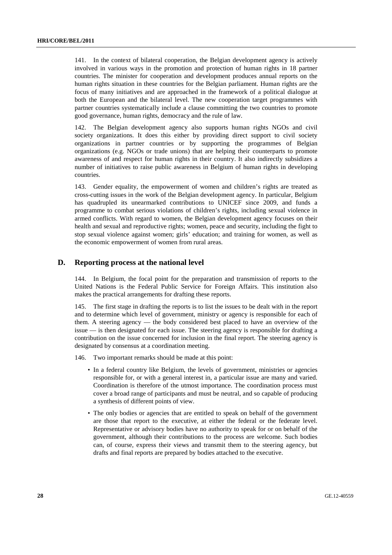141. In the context of bilateral cooperation, the Belgian development agency is actively involved in various ways in the promotion and protection of human rights in 18 partner countries. The minister for cooperation and development produces annual reports on the human rights situation in these countries for the Belgian parliament. Human rights are the focus of many initiatives and are approached in the framework of a political dialogue at both the European and the bilateral level. The new cooperation target programmes with partner countries systematically include a clause committing the two countries to promote good governance, human rights, democracy and the rule of law.

142. The Belgian development agency also supports human rights NGOs and civil society organizations. It does this either by providing direct support to civil society organizations in partner countries or by supporting the programmes of Belgian organizations (e.g. NGOs or trade unions) that are helping their counterparts to promote awareness of and respect for human rights in their country. It also indirectly subsidizes a number of initiatives to raise public awareness in Belgium of human rights in developing countries.

143. Gender equality, the empowerment of women and children's rights are treated as cross-cutting issues in the work of the Belgian development agency. In particular, Belgium has quadrupled its unearmarked contributions to UNICEF since 2009, and funds a programme to combat serious violations of children's rights, including sexual violence in armed conflicts. With regard to women, the Belgian development agency focuses on their health and sexual and reproductive rights; women, peace and security, including the fight to stop sexual violence against women; girls' education; and training for women, as well as the economic empowerment of women from rural areas.

### **D. Reporting process at the national level**

144. In Belgium, the focal point for the preparation and transmission of reports to the United Nations is the Federal Public Service for Foreign Affairs. This institution also makes the practical arrangements for drafting these reports.

145. The first stage in drafting the reports is to list the issues to be dealt with in the report and to determine which level of government, ministry or agency is responsible for each of them. A steering agency — the body considered best placed to have an overview of the issue — is then designated for each issue. The steering agency is responsible for drafting a contribution on the issue concerned for inclusion in the final report. The steering agency is designated by consensus at a coordination meeting.

146. Two important remarks should be made at this point:

- In a federal country like Belgium, the levels of government, ministries or agencies responsible for, or with a general interest in, a particular issue are many and varied. Coordination is therefore of the utmost importance. The coordination process must cover a broad range of participants and must be neutral, and so capable of producing a synthesis of different points of view.
- The only bodies or agencies that are entitled to speak on behalf of the government are those that report to the executive, at either the federal or the federate level. Representative or advisory bodies have no authority to speak for or on behalf of the government, although their contributions to the process are welcome. Such bodies can, of course, express their views and transmit them to the steering agency, but drafts and final reports are prepared by bodies attached to the executive.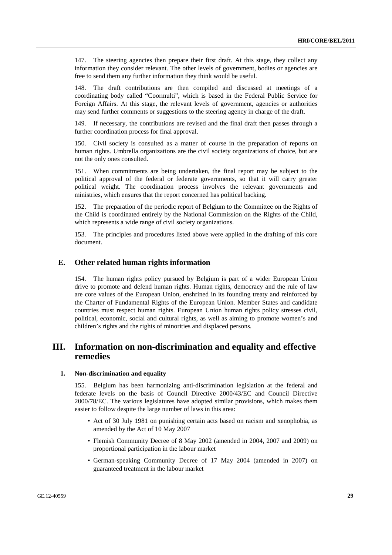147. The steering agencies then prepare their first draft. At this stage, they collect any information they consider relevant. The other levels of government, bodies or agencies are free to send them any further information they think would be useful.

148. The draft contributions are then compiled and discussed at meetings of a coordinating body called "Coormulti", which is based in the Federal Public Service for Foreign Affairs. At this stage, the relevant levels of government, agencies or authorities may send further comments or suggestions to the steering agency in charge of the draft.

149. If necessary, the contributions are revised and the final draft then passes through a further coordination process for final approval.

150. Civil society is consulted as a matter of course in the preparation of reports on human rights. Umbrella organizations are the civil society organizations of choice, but are not the only ones consulted.

151. When commitments are being undertaken, the final report may be subject to the political approval of the federal or federate governments, so that it will carry greater political weight. The coordination process involves the relevant governments and ministries, which ensures that the report concerned has political backing.

152. The preparation of the periodic report of Belgium to the Committee on the Rights of the Child is coordinated entirely by the National Commission on the Rights of the Child, which represents a wide range of civil society organizations.

153. The principles and procedures listed above were applied in the drafting of this core document.

#### **E. Other related human rights information**

154. The human rights policy pursued by Belgium is part of a wider European Union drive to promote and defend human rights. Human rights, democracy and the rule of law are core values of the European Union, enshrined in its founding treaty and reinforced by the Charter of Fundamental Rights of the European Union. Member States and candidate countries must respect human rights. European Union human rights policy stresses civil, political, economic, social and cultural rights, as well as aiming to promote women's and children's rights and the rights of minorities and displaced persons.

## **III. Information on non-discrimination and equality and effective remedies**

#### **1. Non-discrimination and equality**

155. Belgium has been harmonizing anti-discrimination legislation at the federal and federate levels on the basis of Council Directive 2000/43/EC and Council Directive 2000/78/EC. The various legislatures have adopted similar provisions, which makes them easier to follow despite the large number of laws in this area:

- Act of 30 July 1981 on punishing certain acts based on racism and xenophobia, as amended by the Act of 10 May 2007
- Flemish Community Decree of 8 May 2002 (amended in 2004, 2007 and 2009) on proportional participation in the labour market
- German-speaking Community Decree of 17 May 2004 (amended in 2007) on guaranteed treatment in the labour market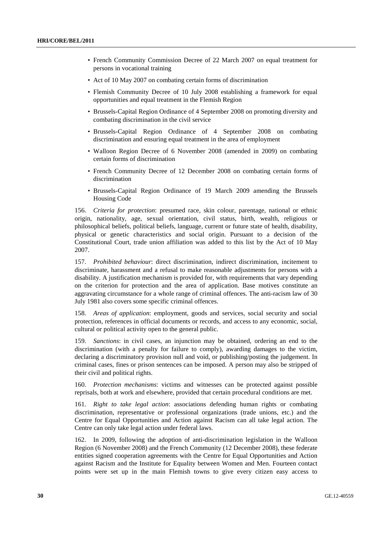- French Community Commission Decree of 22 March 2007 on equal treatment for persons in vocational training
- Act of 10 May 2007 on combating certain forms of discrimination
- Flemish Community Decree of 10 July 2008 establishing a framework for equal opportunities and equal treatment in the Flemish Region
- Brussels-Capital Region Ordinance of 4 September 2008 on promoting diversity and combating discrimination in the civil service
- Brussels-Capital Region Ordinance of 4 September 2008 on combating discrimination and ensuring equal treatment in the area of employment
- Walloon Region Decree of 6 November 2008 (amended in 2009) on combating certain forms of discrimination
- French Community Decree of 12 December 2008 on combating certain forms of discrimination
- Brussels-Capital Region Ordinance of 19 March 2009 amending the Brussels Housing Code

156. *Criteria for protection*: presumed race, skin colour, parentage, national or ethnic origin, nationality, age, sexual orientation, civil status, birth, wealth, religious or philosophical beliefs, political beliefs, language, current or future state of health, disability, physical or genetic characteristics and social origin. Pursuant to a decision of the Constitutional Court, trade union affiliation was added to this list by the Act of 10 May 2007.

157. *Prohibited behaviour*: direct discrimination, indirect discrimination, incitement to discriminate, harassment and a refusal to make reasonable adjustments for persons with a disability. A justification mechanism is provided for, with requirements that vary depending on the criterion for protection and the area of application. Base motives constitute an aggravating circumstance for a whole range of criminal offences. The anti-racism law of 30 July 1981 also covers some specific criminal offences.

158. *Areas of application*: employment, goods and services, social security and social protection, references in official documents or records, and access to any economic, social, cultural or political activity open to the general public.

159. *Sanctions*: in civil cases, an injunction may be obtained, ordering an end to the discrimination (with a penalty for failure to comply), awarding damages to the victim, declaring a discriminatory provision null and void, or publishing/posting the judgement. In criminal cases, fines or prison sentences can be imposed. A person may also be stripped of their civil and political rights.

160. *Protection mechanisms*: victims and witnesses can be protected against possible reprisals, both at work and elsewhere, provided that certain procedural conditions are met.

161. *Right to take legal action*: associations defending human rights or combating discrimination, representative or professional organizations (trade unions, etc.) and the Centre for Equal Opportunities and Action against Racism can all take legal action. The Centre can only take legal action under federal laws.

162. In 2009, following the adoption of anti-discrimination legislation in the Walloon Region (6 November 2008) and the French Community (12 December 2008), these federate entities signed cooperation agreements with the Centre for Equal Opportunities and Action against Racism and the Institute for Equality between Women and Men. Fourteen contact points were set up in the main Flemish towns to give every citizen easy access to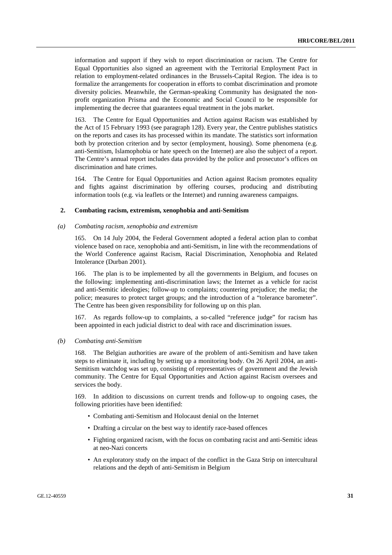information and support if they wish to report discrimination or racism. The Centre for Equal Opportunities also signed an agreement with the Territorial Employment Pact in relation to employment-related ordinances in the Brussels-Capital Region. The idea is to formalize the arrangements for cooperation in efforts to combat discrimination and promote diversity policies. Meanwhile, the German-speaking Community has designated the nonprofit organization Prisma and the Economic and Social Council to be responsible for implementing the decree that guarantees equal treatment in the jobs market.

163. The Centre for Equal Opportunities and Action against Racism was established by the Act of 15 February 1993 (see paragraph 128). Every year, the Centre publishes statistics on the reports and cases its has processed within its mandate. The statistics sort information both by protection criterion and by sector (employment, housing). Some phenomena (e.g. anti-Semitism, Islamophobia or hate speech on the Internet) are also the subject of a report. The Centre's annual report includes data provided by the police and prosecutor's offices on discrimination and hate crimes.

164. The Centre for Equal Opportunities and Action against Racism promotes equality and fights against discrimination by offering courses, producing and distributing information tools (e.g. via leaflets or the Internet) and running awareness campaigns.

#### **2. Combating racism, extremism, xenophobia and anti-Semitism**

#### *(a) Combating racism, xenophobia and extremism*

165. On 14 July 2004, the Federal Government adopted a federal action plan to combat violence based on race, xenophobia and anti-Semitism, in line with the recommendations of the World Conference against Racism, Racial Discrimination, Xenophobia and Related Intolerance (Durban 2001).

166. The plan is to be implemented by all the governments in Belgium, and focuses on the following: implementing anti-discrimination laws; the Internet as a vehicle for racist and anti-Semitic ideologies; follow-up to complaints; countering prejudice; the media; the police; measures to protect target groups; and the introduction of a "tolerance barometer". The Centre has been given responsibility for following up on this plan.

167. As regards follow-up to complaints, a so-called "reference judge" for racism has been appointed in each judicial district to deal with race and discrimination issues.

#### *(b) Combating anti-Semitism*

168. The Belgian authorities are aware of the problem of anti-Semitism and have taken steps to eliminate it, including by setting up a monitoring body. On 26 April 2004, an anti-Semitism watchdog was set up, consisting of representatives of government and the Jewish community. The Centre for Equal Opportunities and Action against Racism oversees and services the body.

169. In addition to discussions on current trends and follow-up to ongoing cases, the following priorities have been identified:

- Combating anti-Semitism and Holocaust denial on the Internet
- Drafting a circular on the best way to identify race-based offences
- Fighting organized racism, with the focus on combating racist and anti-Semitic ideas at neo-Nazi concerts
- An exploratory study on the impact of the conflict in the Gaza Strip on intercultural relations and the depth of anti-Semitism in Belgium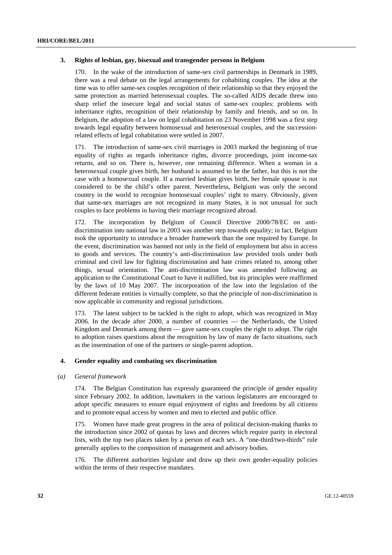#### **3. Rights of lesbian, gay, bisexual and transgender persons in Belgium**

170. In the wake of the introduction of same-sex civil partnerships in Denmark in 1989, there was a real debate on the legal arrangements for cohabiting couples. The idea at the time was to offer same-sex couples recognition of their relationship so that they enjoyed the same protection as married heterosexual couples. The so-called AIDS decade threw into sharp relief the insecure legal and social status of same-sex couples: problems with inheritance rights, recognition of their relationship by family and friends, and so on. In Belgium, the adoption of a law on legal cohabitation on 23 November 1998 was a first step towards legal equality between homosexual and heterosexual couples, and the successionrelated effects of legal cohabitation were settled in 2007.

171. The introduction of same-sex civil marriages in 2003 marked the beginning of true equality of rights as regards inheritance rights, divorce proceedings, joint income-tax returns, and so on. There is, however, one remaining difference. When a woman in a heterosexual couple gives birth, her husband is assumed to be the father, but this is not the case with a homosexual couple. If a married lesbian gives birth, her female spouse is not considered to be the child's other parent. Nevertheless, Belgium was only the second country in the world to recognize homosexual couples' right to marry. Obviously, given that same-sex marriages are not recognized in many States, it is not unusual for such couples to face problems in having their marriage recognized abroad.

172. The incorporation by Belgium of Council Directive 2000/78/EC on antidiscrimination into national law in 2003 was another step towards equality; in fact, Belgium took the opportunity to introduce a broader framework than the one required by Europe. In the event, discrimination was banned not only in the field of employment but also in access to goods and services. The country's anti-discrimination law provided tools under both criminal and civil law for fighting discrimination and hate crimes related to, among other things, sexual orientation. The anti-discrimination law was amended following an application to the Constitutional Court to have it nullified, but its principles were reaffirmed by the laws of 10 May 2007. The incorporation of the law into the legislation of the different federate entities is virtually complete, so that the principle of non-discrimination is now applicable in community and regional jurisdictions.

173. The latest subject to be tackled is the right to adopt, which was recognized in May 2006. In the decade after 2000, a number of countries — the Netherlands, the United Kingdom and Denmark among them — gave same-sex couples the right to adopt. The right to adoption raises questions about the recognition by law of many de facto situations, such as the insemination of one of the partners or single-parent adoption.

### **4. Gender equality and combating sex discrimination**

#### *(a) General framework*

174. The Belgian Constitution has expressly guaranteed the principle of gender equality since February 2002. In addition, lawmakers in the various legislatures are encouraged to adopt specific measures to ensure equal enjoyment of rights and freedoms by all citizens and to promote equal access by women and men to elected and public office.

175. Women have made great progress in the area of political decision-making thanks to the introduction since 2002 of quotas by laws and decrees which require parity in electoral lists, with the top two places taken by a person of each sex. A "one-third/two-thirds" rule generally applies to the composition of management and advisory bodies.

176. The different authorities legislate and draw up their own gender-equality policies within the terms of their respective mandates.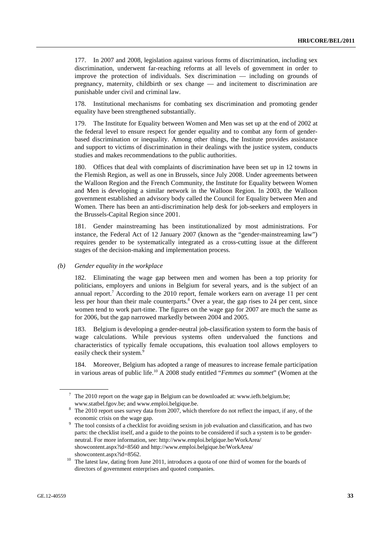177. In 2007 and 2008, legislation against various forms of discrimination, including sex discrimination, underwent far-reaching reforms at all levels of government in order to improve the protection of individuals. Sex discrimination — including on grounds of pregnancy, maternity, childbirth or sex change — and incitement to discrimination are punishable under civil and criminal law.

178. Institutional mechanisms for combating sex discrimination and promoting gender equality have been strengthened substantially.

179. The Institute for Equality between Women and Men was set up at the end of 2002 at the federal level to ensure respect for gender equality and to combat any form of genderbased discrimination or inequality. Among other things, the Institute provides assistance and support to victims of discrimination in their dealings with the justice system, conducts studies and makes recommendations to the public authorities.

180. Offices that deal with complaints of discrimination have been set up in 12 towns in the Flemish Region, as well as one in Brussels, since July 2008. Under agreements between the Walloon Region and the French Community, the Institute for Equality between Women and Men is developing a similar network in the Walloon Region. In 2003, the Walloon government established an advisory body called the Council for Equality between Men and Women. There has been an anti-discrimination help desk for job-seekers and employers in the Brussels-Capital Region since 2001.

181. Gender mainstreaming has been institutionalized by most administrations. For instance, the Federal Act of 12 January 2007 (known as the "gender-mainstreaming law") requires gender to be systematically integrated as a cross-cutting issue at the different stages of the decision-making and implementation process.

 *(b) Gender equality in the workplace* 

182. Eliminating the wage gap between men and women has been a top priority for politicians, employers and unions in Belgium for several years, and is the subject of an annual report.<sup>7</sup> According to the 2010 report, female workers earn on average 11 per cent less per hour than their male counterparts.<sup>8</sup> Over a year, the gap rises to 24 per cent, since women tend to work part-time. The figures on the wage gap for 2007 are much the same as for 2006, but the gap narrowed markedly between 2004 and 2005.

183. Belgium is developing a gender-neutral job-classification system to form the basis of wage calculations. While previous systems often undervalued the functions and characteristics of typically female occupations, this evaluation tool allows employers to easily check their system.<sup>9</sup>

184. Moreover, Belgium has adopted a range of measures to increase female participation in various areas of public life.10 A 2008 study entitled "*Femmes au sommet*" (Women at the

<sup>&</sup>lt;sup>7</sup> The 2010 report on the wage gap in Belgium can be downloaded at: www.iefh.belgium.be; www.statbel.fgov.be; and www.emploi.belgique.be. 8

The 2010 report uses survey data from 2007, which therefore do not reflect the impact, if any, of the

economic crisis on the wage gap.<br><sup>9</sup> The tool consists of a checklist for avoiding sexism in job evaluation and classification, and has two parts: the checklist itself, and a guide to the points to be considered if such a system is to be genderneutral. For more information, see: http://www.emploi.belgique.be/WorkArea/ showcontent.aspx?id=8560 and http://www.emploi.belgique.be/WorkArea/

showcontent.aspx?id=8562.<br><sup>10</sup> The latest law, dating from June 2011, introduces a quota of one third of women for the boards of directors of government enterprises and quoted companies.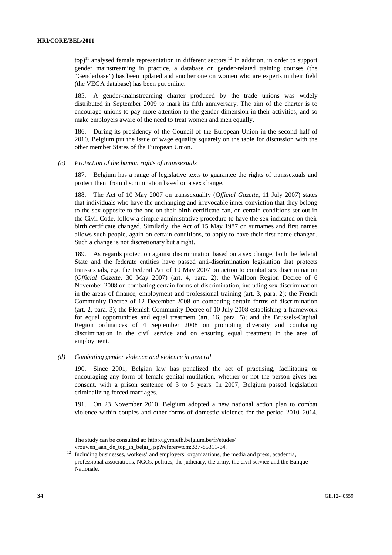$top$ <sup>11</sup> analysed female representation in different sectors.<sup>12</sup> In addition, in order to support gender mainstreaming in practice, a database on gender-related training courses (the "Genderbase") has been updated and another one on women who are experts in their field (the VEGA database) has been put online.

185. A gender-mainstreaming charter produced by the trade unions was widely distributed in September 2009 to mark its fifth anniversary. The aim of the charter is to encourage unions to pay more attention to the gender dimension in their activities, and so make employers aware of the need to treat women and men equally.

186. During its presidency of the Council of the European Union in the second half of 2010, Belgium put the issue of wage equality squarely on the table for discussion with the other member States of the European Union.

 *(c) Protection of the human rights of transsexuals* 

187. Belgium has a range of legislative texts to guarantee the rights of transsexuals and protect them from discrimination based on a sex change.

188. The Act of 10 May 2007 on transsexuality (*Official Gazette*, 11 July 2007) states that individuals who have the unchanging and irrevocable inner conviction that they belong to the sex opposite to the one on their birth certificate can, on certain conditions set out in the Civil Code, follow a simple administrative procedure to have the sex indicated on their birth certificate changed. Similarly, the Act of 15 May 1987 on surnames and first names allows such people, again on certain conditions, to apply to have their first name changed. Such a change is not discretionary but a right.

189. As regards protection against discrimination based on a sex change, both the federal State and the federate entities have passed anti-discrimination legislation that protects transsexuals, e.g. the Federal Act of 10 May 2007 on action to combat sex discrimination (*Official Gazette*, 30 May 2007) (art. 4, para. 2); the Walloon Region Decree of 6 November 2008 on combating certain forms of discrimination, including sex discrimination in the areas of finance, employment and professional training (art. 3, para. 2); the French Community Decree of 12 December 2008 on combating certain forms of discrimination (art. 2, para. 3); the Flemish Community Decree of 10 July 2008 establishing a framework for equal opportunities and equal treatment (art. 16, para. 5); and the Brussels-Capital Region ordinances of 4 September 2008 on promoting diversity and combating discrimination in the civil service and on ensuring equal treatment in the area of employment.

 *(d) Combating gender violence and violence in general* 

190. Since 2001, Belgian law has penalized the act of practising, facilitating or encouraging any form of female genital mutilation, whether or not the person gives her consent, with a prison sentence of 3 to 5 years. In 2007, Belgium passed legislation criminalizing forced marriages.

191. On 23 November 2010, Belgium adopted a new national action plan to combat violence within couples and other forms of domestic violence for the period 2010–2014.

<sup>&</sup>lt;sup>11</sup> The study can be consulted at: http://igvmiefh.belgium.be/fr/etudes/

vrouwen\_aan\_de\_top\_in\_belgi\_.jsp?referer=tcm:337-85311-64. 12 Including businesses, workers' and employers' organizations, the media and press, academia, professional associations, NGOs, politics, the judiciary, the army, the civil service and the Banque Nationale.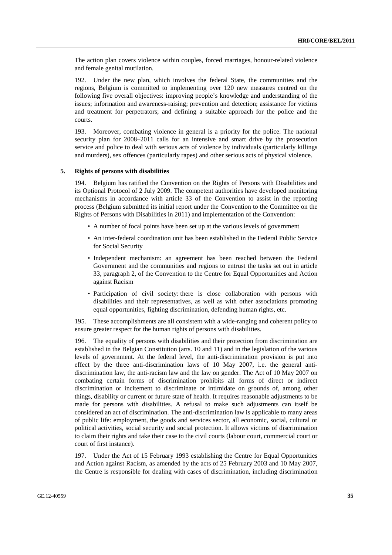The action plan covers violence within couples, forced marriages, honour-related violence and female genital mutilation.

192. Under the new plan, which involves the federal State, the communities and the regions, Belgium is committed to implementing over 120 new measures centred on the following five overall objectives: improving people's knowledge and understanding of the issues; information and awareness-raising; prevention and detection; assistance for victims and treatment for perpetrators; and defining a suitable approach for the police and the courts.

193. Moreover, combating violence in general is a priority for the police. The national security plan for 2008–2011 calls for an intensive and smart drive by the prosecution service and police to deal with serious acts of violence by individuals (particularly killings and murders), sex offences (particularly rapes) and other serious acts of physical violence.

#### **5. Rights of persons with disabilities**

194. Belgium has ratified the Convention on the Rights of Persons with Disabilities and its Optional Protocol of 2 July 2009. The competent authorities have developed monitoring mechanisms in accordance with article 33 of the Convention to assist in the reporting process (Belgium submitted its initial report under the Convention to the Committee on the Rights of Persons with Disabilities in 2011) and implementation of the Convention:

- A number of focal points have been set up at the various levels of government
- An inter-federal coordination unit has been established in the Federal Public Service for Social Security
- Independent mechanism: an agreement has been reached between the Federal Government and the communities and regions to entrust the tasks set out in article 33, paragraph 2, of the Convention to the Centre for Equal Opportunities and Action against Racism
- Participation of civil society: there is close collaboration with persons with disabilities and their representatives, as well as with other associations promoting equal opportunities, fighting discrimination, defending human rights, etc.

195. These accomplishments are all consistent with a wide-ranging and coherent policy to ensure greater respect for the human rights of persons with disabilities.

196. The equality of persons with disabilities and their protection from discrimination are established in the Belgian Constitution (arts. 10 and 11) and in the legislation of the various levels of government. At the federal level, the anti-discrimination provision is put into effect by the three anti-discrimination laws of 10 May 2007, i.e. the general antidiscrimination law, the anti-racism law and the law on gender. The Act of 10 May 2007 on combating certain forms of discrimination prohibits all forms of direct or indirect discrimination or incitement to discriminate or intimidate on grounds of, among other things, disability or current or future state of health. It requires reasonable adjustments to be made for persons with disabilities. A refusal to make such adjustments can itself be considered an act of discrimination. The anti-discrimination law is applicable to many areas of public life: employment, the goods and services sector, all economic, social, cultural or political activities, social security and social protection. It allows victims of discrimination to claim their rights and take their case to the civil courts (labour court, commercial court or court of first instance).

197. Under the Act of 15 February 1993 establishing the Centre for Equal Opportunities and Action against Racism, as amended by the acts of 25 February 2003 and 10 May 2007, the Centre is responsible for dealing with cases of discrimination, including discrimination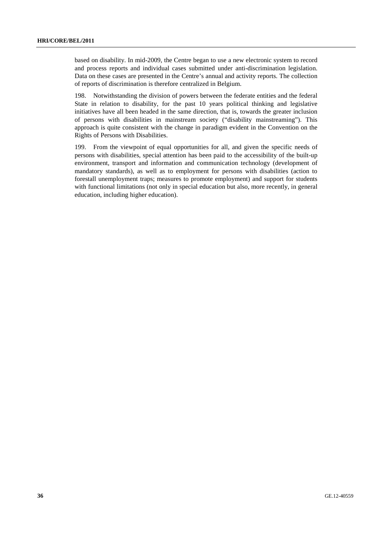based on disability. In mid-2009, the Centre began to use a new electronic system to record and process reports and individual cases submitted under anti-discrimination legislation. Data on these cases are presented in the Centre's annual and activity reports. The collection of reports of discrimination is therefore centralized in Belgium.

198. Notwithstanding the division of powers between the federate entities and the federal State in relation to disability, for the past 10 years political thinking and legislative initiatives have all been headed in the same direction, that is, towards the greater inclusion of persons with disabilities in mainstream society ("disability mainstreaming"). This approach is quite consistent with the change in paradigm evident in the Convention on the Rights of Persons with Disabilities.

199. From the viewpoint of equal opportunities for all, and given the specific needs of persons with disabilities, special attention has been paid to the accessibility of the built-up environment, transport and information and communication technology (development of mandatory standards), as well as to employment for persons with disabilities (action to forestall unemployment traps; measures to promote employment) and support for students with functional limitations (not only in special education but also, more recently, in general education, including higher education).